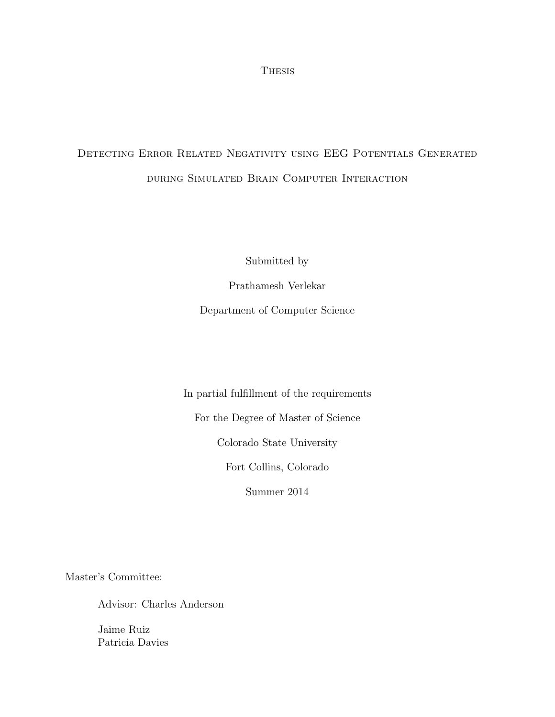Thesis

# Detecting Error Related Negativity using EEG Potentials Generated during Simulated Brain Computer Interaction

Submitted by

Prathamesh Verlekar Department of Computer Science

In partial fulfillment of the requirements

For the Degree of Master of Science

Colorado State University

Fort Collins, Colorado

Summer 2014

Master's Committee:

Advisor: Charles Anderson

Jaime Ruiz Patricia Davies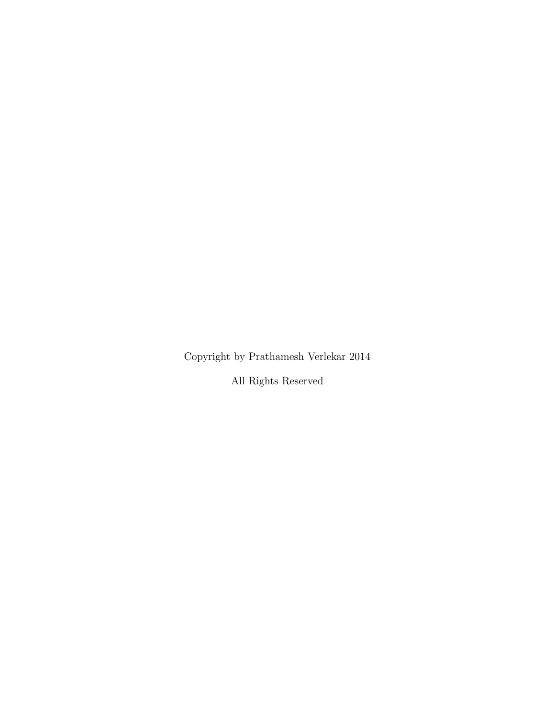Copyright by Prathamesh Verlekar 2014

All Rights Reserved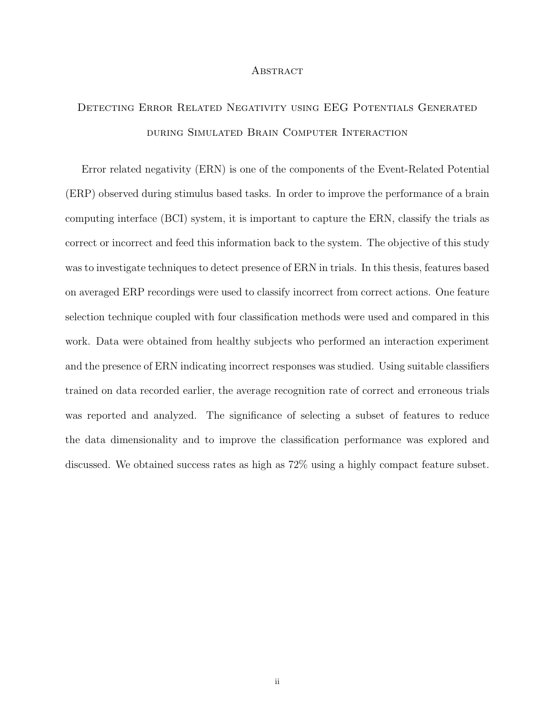#### **ABSTRACT**

# Detecting Error Related Negativity using EEG Potentials Generated during Simulated Brain Computer Interaction

Error related negativity (ERN) is one of the components of the Event-Related Potential (ERP) observed during stimulus based tasks. In order to improve the performance of a brain computing interface (BCI) system, it is important to capture the ERN, classify the trials as correct or incorrect and feed this information back to the system. The objective of this study was to investigate techniques to detect presence of ERN in trials. In this thesis, features based on averaged ERP recordings were used to classify incorrect from correct actions. One feature selection technique coupled with four classification methods were used and compared in this work. Data were obtained from healthy subjects who performed an interaction experiment and the presence of ERN indicating incorrect responses was studied. Using suitable classifiers trained on data recorded earlier, the average recognition rate of correct and erroneous trials was reported and analyzed. The significance of selecting a subset of features to reduce the data dimensionality and to improve the classification performance was explored and discussed. We obtained success rates as high as 72% using a highly compact feature subset.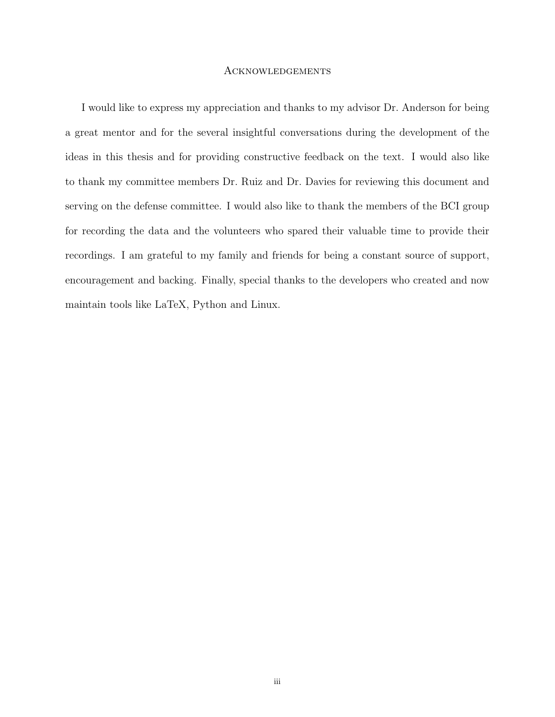#### Acknowledgements

I would like to express my appreciation and thanks to my advisor Dr. Anderson for being a great mentor and for the several insightful conversations during the development of the ideas in this thesis and for providing constructive feedback on the text. I would also like to thank my committee members Dr. Ruiz and Dr. Davies for reviewing this document and serving on the defense committee. I would also like to thank the members of the BCI group for recording the data and the volunteers who spared their valuable time to provide their recordings. I am grateful to my family and friends for being a constant source of support, encouragement and backing. Finally, special thanks to the developers who created and now maintain tools like LaTeX, Python and Linux.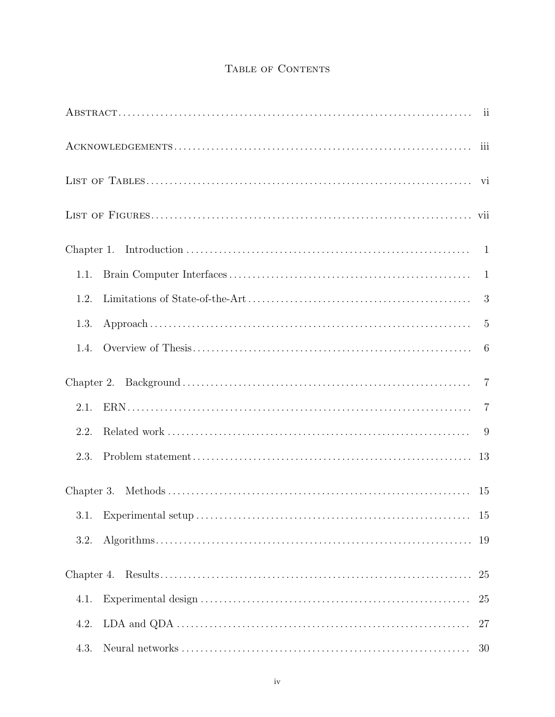### TABLE OF CONTENTS

|      | iii            |
|------|----------------|
|      |                |
|      |                |
|      |                |
| 1.1. |                |
| 1.2. | 3              |
| 1.3. | $\overline{5}$ |
| 1.4. | 6              |
|      | $\overline{7}$ |
| 2.1. | $\overline{7}$ |
| 2.2. |                |
| 2.3. | 13             |
|      | 15             |
| 3.1. | 15             |
| 3.2. | 19             |
|      | 25             |
| 4.1. | 25             |
| 4.2. | 27             |
| 4.3. | 30             |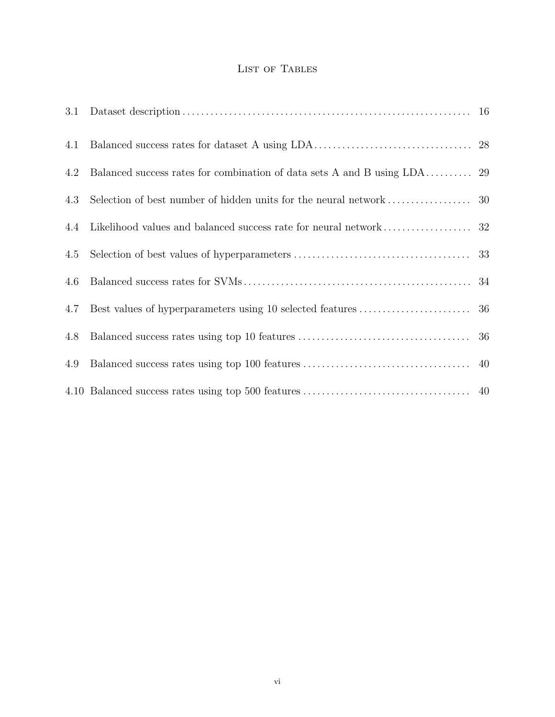### LIST OF TABLES

| 3.1 |  |
|-----|--|
| 4.1 |  |
| 4.2 |  |
| 4.3 |  |
| 4.4 |  |
| 4.5 |  |
| 4.6 |  |
| 4.7 |  |
| 4.8 |  |
| 4.9 |  |
|     |  |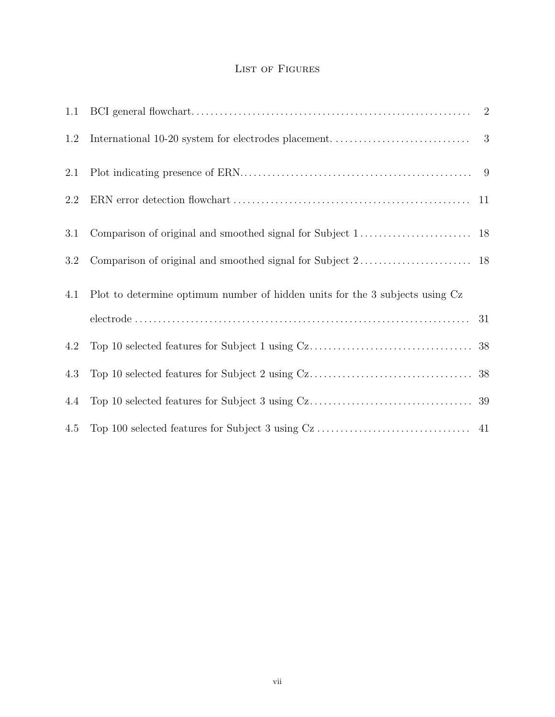### LIST OF FIGURES

| 1.1 |                                                                              | $\overline{2}$ |
|-----|------------------------------------------------------------------------------|----------------|
| 1.2 |                                                                              |                |
| 2.1 |                                                                              |                |
| 2.2 |                                                                              |                |
| 3.1 |                                                                              |                |
| 3.2 |                                                                              |                |
| 4.1 | Plot to determine optimum number of hidden units for the 3 subjects using Cz |                |
|     |                                                                              |                |
| 4.2 |                                                                              |                |
| 4.3 |                                                                              |                |
| 4.4 |                                                                              |                |
| 4.5 |                                                                              |                |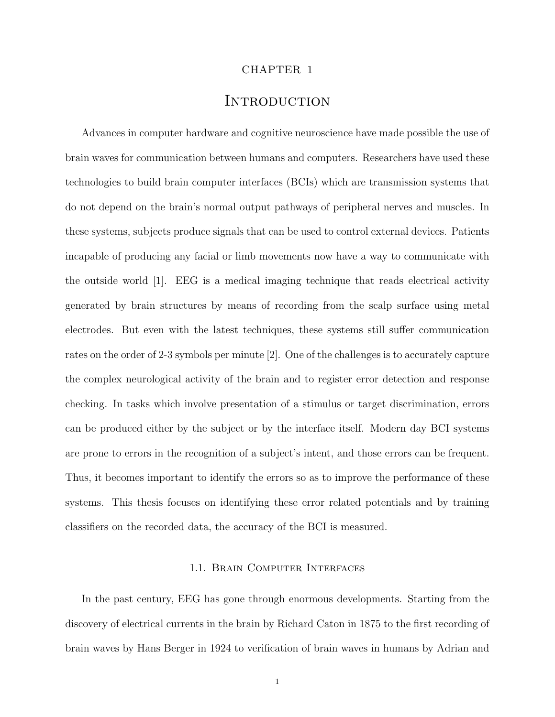#### CHAPTER 1

### **INTRODUCTION**

Advances in computer hardware and cognitive neuroscience have made possible the use of brain waves for communication between humans and computers. Researchers have used these technologies to build brain computer interfaces (BCIs) which are transmission systems that do not depend on the brain's normal output pathways of peripheral nerves and muscles. In these systems, subjects produce signals that can be used to control external devices. Patients incapable of producing any facial or limb movements now have a way to communicate with the outside world [1]. EEG is a medical imaging technique that reads electrical activity generated by brain structures by means of recording from the scalp surface using metal electrodes. But even with the latest techniques, these systems still suffer communication rates on the order of 2-3 symbols per minute [2]. One of the challenges is to accurately capture the complex neurological activity of the brain and to register error detection and response checking. In tasks which involve presentation of a stimulus or target discrimination, errors can be produced either by the subject or by the interface itself. Modern day BCI systems are prone to errors in the recognition of a subject's intent, and those errors can be frequent. Thus, it becomes important to identify the errors so as to improve the performance of these systems. This thesis focuses on identifying these error related potentials and by training classifiers on the recorded data, the accuracy of the BCI is measured.

#### 1.1. Brain Computer Interfaces

In the past century, EEG has gone through enormous developments. Starting from the discovery of electrical currents in the brain by Richard Caton in 1875 to the first recording of brain waves by Hans Berger in 1924 to verification of brain waves in humans by Adrian and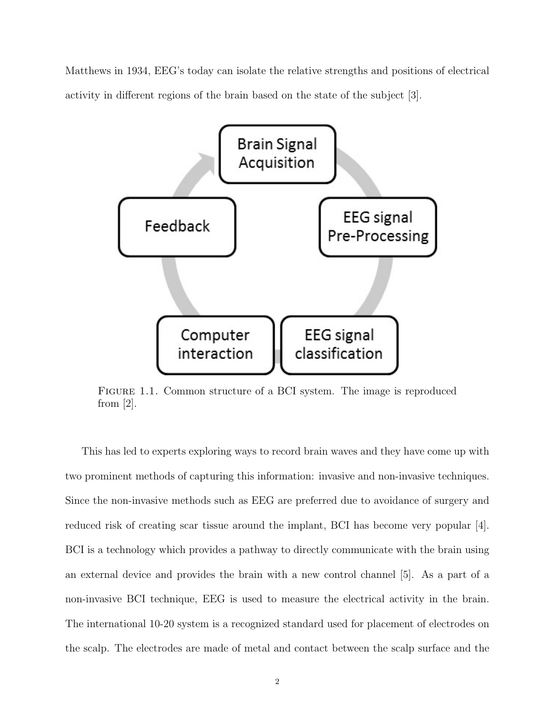Matthews in 1934, EEG's today can isolate the relative strengths and positions of electrical activity in different regions of the brain based on the state of the subject [3].



Figure 1.1. Common structure of a BCI system. The image is reproduced from  $[2]$ .

This has led to experts exploring ways to record brain waves and they have come up with two prominent methods of capturing this information: invasive and non-invasive techniques. Since the non-invasive methods such as EEG are preferred due to avoidance of surgery and reduced risk of creating scar tissue around the implant, BCI has become very popular [4]. BCI is a technology which provides a pathway to directly communicate with the brain using an external device and provides the brain with a new control channel [5]. As a part of a non-invasive BCI technique, EEG is used to measure the electrical activity in the brain. The international 10-20 system is a recognized standard used for placement of electrodes on the scalp. The electrodes are made of metal and contact between the scalp surface and the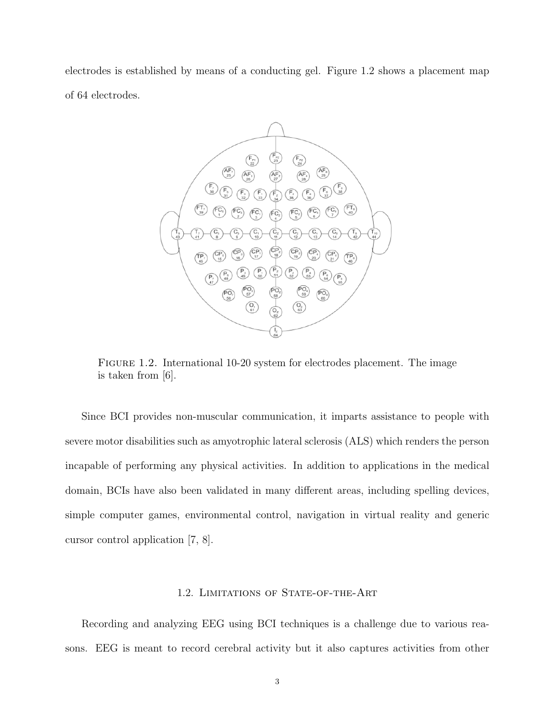electrodes is established by means of a conducting gel. Figure 1.2 shows a placement map of 64 electrodes.



Figure 1.2. International 10-20 system for electrodes placement. The image is taken from [6].

Since BCI provides non-muscular communication, it imparts assistance to people with severe motor disabilities such as amyotrophic lateral sclerosis (ALS) which renders the person incapable of performing any physical activities. In addition to applications in the medical domain, BCIs have also been validated in many different areas, including spelling devices, simple computer games, environmental control, navigation in virtual reality and generic cursor control application [7, 8].

#### 1.2. LIMITATIONS OF STATE-OF-THE-ART

Recording and analyzing EEG using BCI techniques is a challenge due to various reasons. EEG is meant to record cerebral activity but it also captures activities from other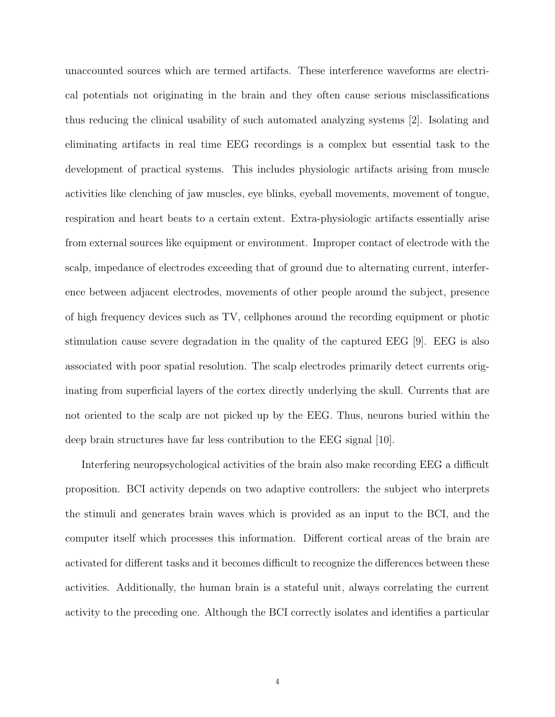unaccounted sources which are termed artifacts. These interference waveforms are electrical potentials not originating in the brain and they often cause serious misclassifications thus reducing the clinical usability of such automated analyzing systems [2]. Isolating and eliminating artifacts in real time EEG recordings is a complex but essential task to the development of practical systems. This includes physiologic artifacts arising from muscle activities like clenching of jaw muscles, eye blinks, eyeball movements, movement of tongue, respiration and heart beats to a certain extent. Extra-physiologic artifacts essentially arise from external sources like equipment or environment. Improper contact of electrode with the scalp, impedance of electrodes exceeding that of ground due to alternating current, interference between adjacent electrodes, movements of other people around the subject, presence of high frequency devices such as TV, cellphones around the recording equipment or photic stimulation cause severe degradation in the quality of the captured EEG [9]. EEG is also associated with poor spatial resolution. The scalp electrodes primarily detect currents originating from superficial layers of the cortex directly underlying the skull. Currents that are not oriented to the scalp are not picked up by the EEG. Thus, neurons buried within the deep brain structures have far less contribution to the EEG signal [10].

Interfering neuropsychological activities of the brain also make recording EEG a difficult proposition. BCI activity depends on two adaptive controllers: the subject who interprets the stimuli and generates brain waves which is provided as an input to the BCI, and the computer itself which processes this information. Different cortical areas of the brain are activated for different tasks and it becomes difficult to recognize the differences between these activities. Additionally, the human brain is a stateful unit, always correlating the current activity to the preceding one. Although the BCI correctly isolates and identifies a particular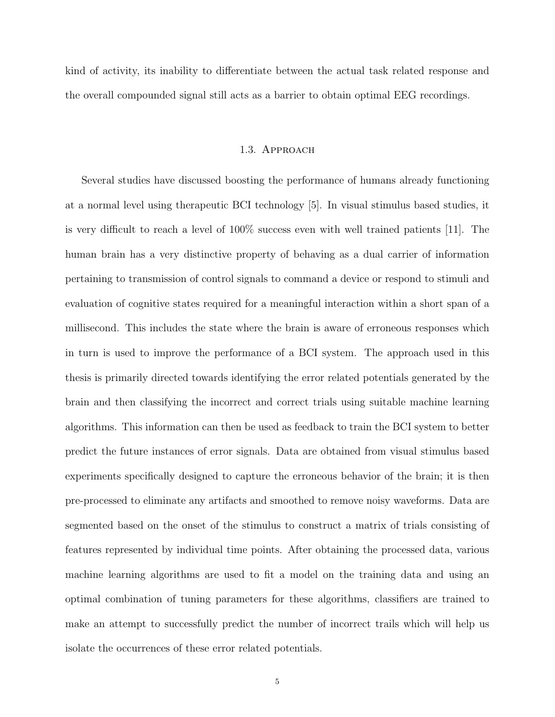kind of activity, its inability to differentiate between the actual task related response and the overall compounded signal still acts as a barrier to obtain optimal EEG recordings.

#### 1.3. Approach

Several studies have discussed boosting the performance of humans already functioning at a normal level using therapeutic BCI technology [5]. In visual stimulus based studies, it is very difficult to reach a level of 100% success even with well trained patients [11]. The human brain has a very distinctive property of behaving as a dual carrier of information pertaining to transmission of control signals to command a device or respond to stimuli and evaluation of cognitive states required for a meaningful interaction within a short span of a millisecond. This includes the state where the brain is aware of erroneous responses which in turn is used to improve the performance of a BCI system. The approach used in this thesis is primarily directed towards identifying the error related potentials generated by the brain and then classifying the incorrect and correct trials using suitable machine learning algorithms. This information can then be used as feedback to train the BCI system to better predict the future instances of error signals. Data are obtained from visual stimulus based experiments specifically designed to capture the erroneous behavior of the brain; it is then pre-processed to eliminate any artifacts and smoothed to remove noisy waveforms. Data are segmented based on the onset of the stimulus to construct a matrix of trials consisting of features represented by individual time points. After obtaining the processed data, various machine learning algorithms are used to fit a model on the training data and using an optimal combination of tuning parameters for these algorithms, classifiers are trained to make an attempt to successfully predict the number of incorrect trails which will help us isolate the occurrences of these error related potentials.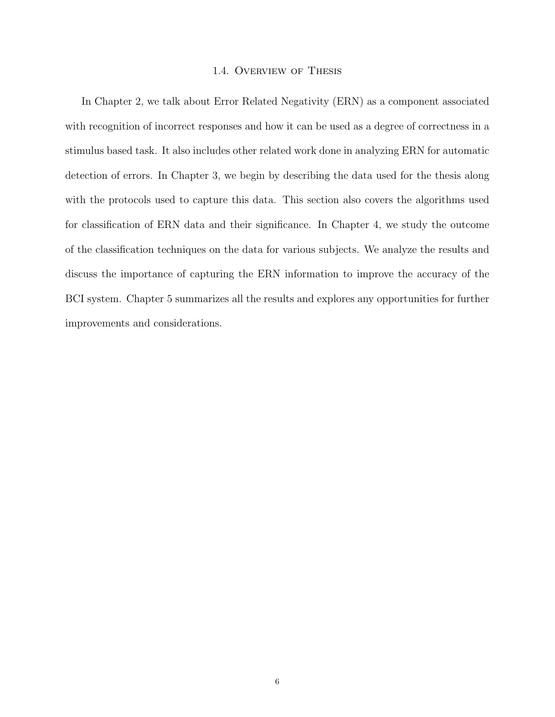#### 1.4. Overview of Thesis

In Chapter 2, we talk about Error Related Negativity (ERN) as a component associated with recognition of incorrect responses and how it can be used as a degree of correctness in a stimulus based task. It also includes other related work done in analyzing ERN for automatic detection of errors. In Chapter 3, we begin by describing the data used for the thesis along with the protocols used to capture this data. This section also covers the algorithms used for classification of ERN data and their significance. In Chapter 4, we study the outcome of the classification techniques on the data for various subjects. We analyze the results and discuss the importance of capturing the ERN information to improve the accuracy of the BCI system. Chapter 5 summarizes all the results and explores any opportunities for further improvements and considerations.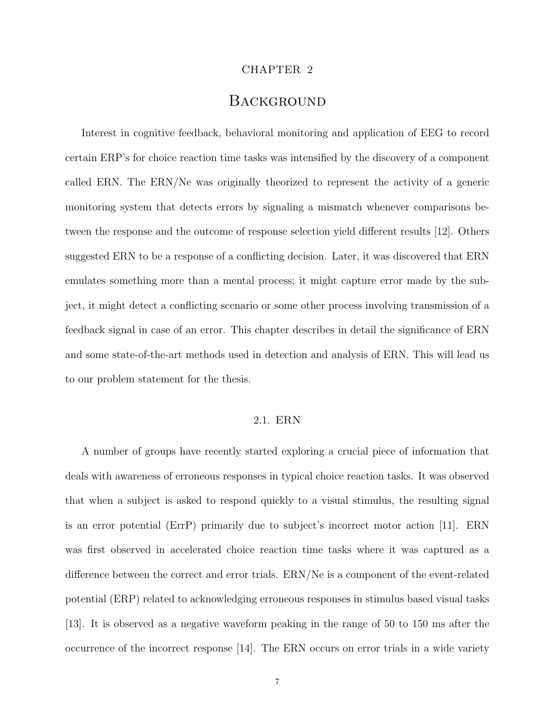#### CHAPTER 2

### **BACKGROUND**

Interest in cognitive feedback, behavioral monitoring and application of EEG to record certain ERP's for choice reaction time tasks was intensified by the discovery of a component called ERN. The ERN/Ne was originally theorized to represent the activity of a generic monitoring system that detects errors by signaling a mismatch whenever comparisons between the response and the outcome of response selection yield different results [12]. Others suggested ERN to be a response of a conflicting decision. Later, it was discovered that ERN emulates something more than a mental process; it might capture error made by the subject, it might detect a conflicting scenario or some other process involving transmission of a feedback signal in case of an error. This chapter describes in detail the significance of ERN and some state-of-the-art methods used in detection and analysis of ERN. This will lead us to our problem statement for the thesis.

#### 2.1. ERN

A number of groups have recently started exploring a crucial piece of information that deals with awareness of erroneous responses in typical choice reaction tasks. It was observed that when a subject is asked to respond quickly to a visual stimulus, the resulting signal is an error potential (ErrP) primarily due to subject's incorrect motor action [11]. ERN was first observed in accelerated choice reaction time tasks where it was captured as a difference between the correct and error trials. ERN/Ne is a component of the event-related potential (ERP) related to acknowledging erroneous responses in stimulus based visual tasks [13]. It is observed as a negative waveform peaking in the range of 50 to 150 ms after the occurrence of the incorrect response [14]. The ERN occurs on error trials in a wide variety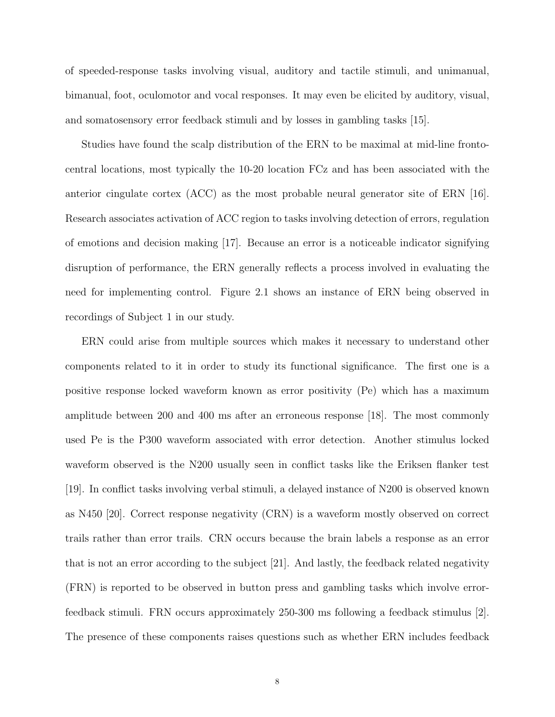of speeded-response tasks involving visual, auditory and tactile stimuli, and unimanual, bimanual, foot, oculomotor and vocal responses. It may even be elicited by auditory, visual, and somatosensory error feedback stimuli and by losses in gambling tasks [15].

Studies have found the scalp distribution of the ERN to be maximal at mid-line frontocentral locations, most typically the 10-20 location FCz and has been associated with the anterior cingulate cortex (ACC) as the most probable neural generator site of ERN [16]. Research associates activation of ACC region to tasks involving detection of errors, regulation of emotions and decision making [17]. Because an error is a noticeable indicator signifying disruption of performance, the ERN generally reflects a process involved in evaluating the need for implementing control. Figure 2.1 shows an instance of ERN being observed in recordings of Subject 1 in our study.

ERN could arise from multiple sources which makes it necessary to understand other components related to it in order to study its functional significance. The first one is a positive response locked waveform known as error positivity (Pe) which has a maximum amplitude between 200 and 400 ms after an erroneous response [18]. The most commonly used Pe is the P300 waveform associated with error detection. Another stimulus locked waveform observed is the N200 usually seen in conflict tasks like the Eriksen flanker test [19]. In conflict tasks involving verbal stimuli, a delayed instance of N200 is observed known as N450 [20]. Correct response negativity (CRN) is a waveform mostly observed on correct trails rather than error trails. CRN occurs because the brain labels a response as an error that is not an error according to the subject [21]. And lastly, the feedback related negativity (FRN) is reported to be observed in button press and gambling tasks which involve errorfeedback stimuli. FRN occurs approximately 250-300 ms following a feedback stimulus [2]. The presence of these components raises questions such as whether ERN includes feedback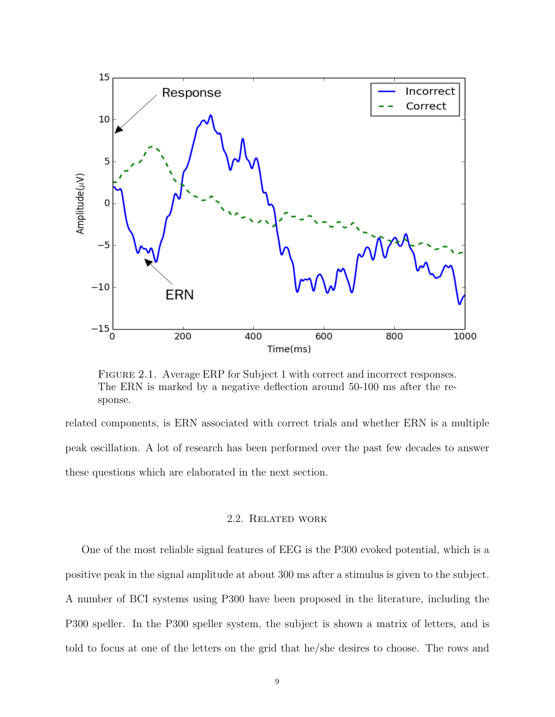

Figure 2.1. Average ERP for Subject 1 with correct and incorrect responses. The ERN is marked by a negative deflection around 50-100 ms after the response.

related components, is ERN associated with correct trials and whether ERN is a multiple peak oscillation. A lot of research has been performed over the past few decades to answer these questions which are elaborated in the next section.

#### 2.2. Related work

One of the most reliable signal features of EEG is the P300 evoked potential, which is a positive peak in the signal amplitude at about 300 ms after a stimulus is given to the subject. A number of BCI systems using P300 have been proposed in the literature, including the P300 speller. In the P300 speller system, the subject is shown a matrix of letters, and is told to focus at one of the letters on the grid that he/she desires to choose. The rows and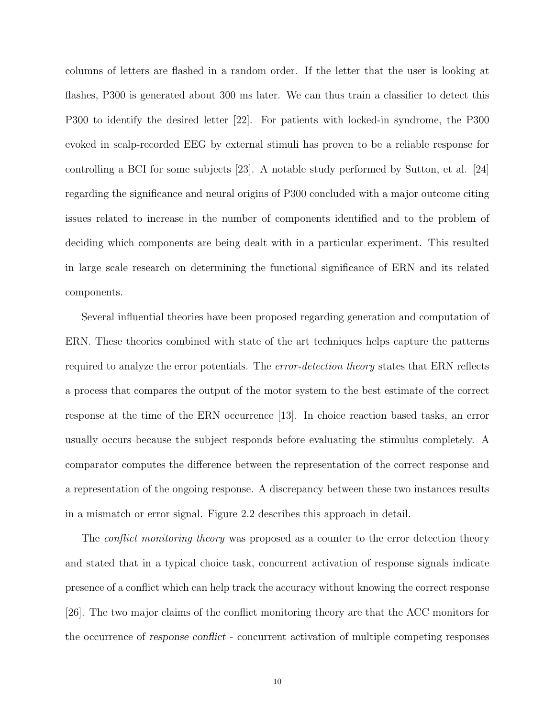columns of letters are flashed in a random order. If the letter that the user is looking at flashes, P300 is generated about 300 ms later. We can thus train a classifier to detect this P300 to identify the desired letter [22]. For patients with locked-in syndrome, the P300 evoked in scalp-recorded EEG by external stimuli has proven to be a reliable response for controlling a BCI for some subjects [23]. A notable study performed by Sutton, et al. [24] regarding the significance and neural origins of P300 concluded with a major outcome citing issues related to increase in the number of components identified and to the problem of deciding which components are being dealt with in a particular experiment. This resulted in large scale research on determining the functional significance of ERN and its related components.

Several influential theories have been proposed regarding generation and computation of ERN. These theories combined with state of the art techniques helps capture the patterns required to analyze the error potentials. The *error-detection theory* states that ERN reflects a process that compares the output of the motor system to the best estimate of the correct response at the time of the ERN occurrence [13]. In choice reaction based tasks, an error usually occurs because the subject responds before evaluating the stimulus completely. A comparator computes the difference between the representation of the correct response and a representation of the ongoing response. A discrepancy between these two instances results in a mismatch or error signal. Figure 2.2 describes this approach in detail.

The *conflict monitoring theory* was proposed as a counter to the error detection theory and stated that in a typical choice task, concurrent activation of response signals indicate presence of a conflict which can help track the accuracy without knowing the correct response [26]. The two major claims of the conflict monitoring theory are that the ACC monitors for the occurrence of response conflict - concurrent activation of multiple competing responses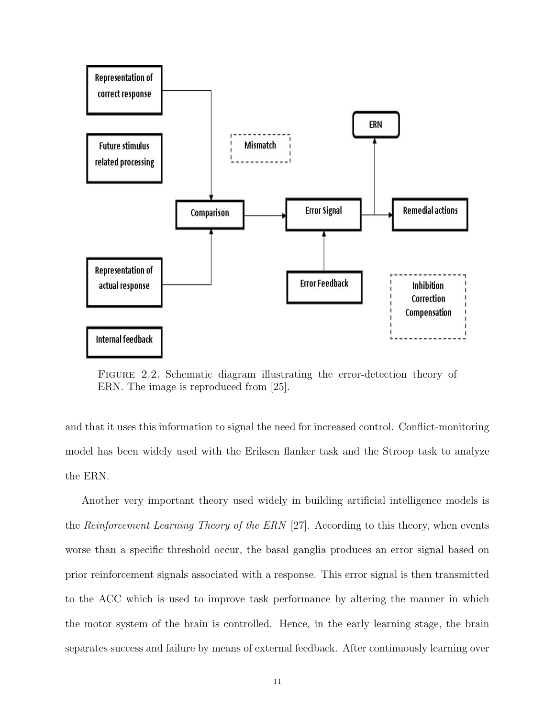

FIGURE 2.2. Schematic diagram illustrating the error-detection theory of ERN. The image is reproduced from [25].

and that it uses this information to signal the need for increased control. Conflict-monitoring model has been widely used with the Eriksen flanker task and the Stroop task to analyze the ERN.

Another very important theory used widely in building artificial intelligence models is the Reinforcement Learning Theory of the ERN  $[27]$ . According to this theory, when events worse than a specific threshold occur, the basal ganglia produces an error signal based on prior reinforcement signals associated with a response. This error signal is then transmitted to the ACC which is used to improve task performance by altering the manner in which the motor system of the brain is controlled. Hence, in the early learning stage, the brain separates success and failure by means of external feedback. After continuously learning over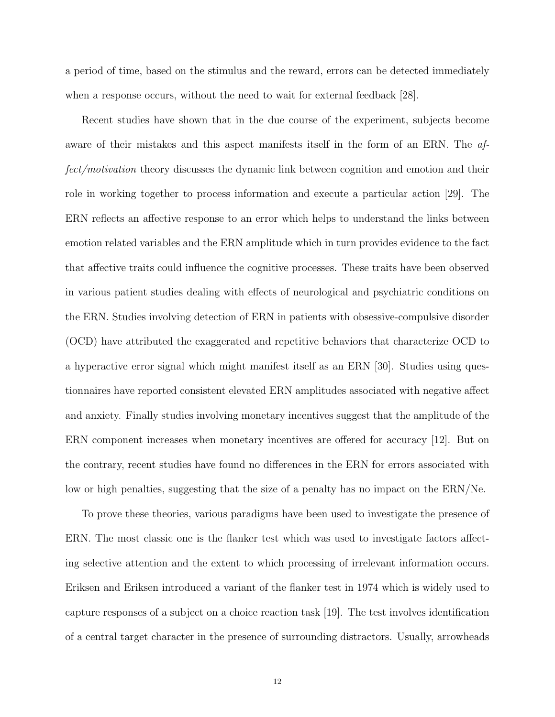a period of time, based on the stimulus and the reward, errors can be detected immediately when a response occurs, without the need to wait for external feedback [28].

Recent studies have shown that in the due course of the experiment, subjects become aware of their mistakes and this aspect manifests itself in the form of an ERN. The affect/motivation theory discusses the dynamic link between cognition and emotion and their role in working together to process information and execute a particular action [29]. The ERN reflects an affective response to an error which helps to understand the links between emotion related variables and the ERN amplitude which in turn provides evidence to the fact that affective traits could influence the cognitive processes. These traits have been observed in various patient studies dealing with effects of neurological and psychiatric conditions on the ERN. Studies involving detection of ERN in patients with obsessive-compulsive disorder (OCD) have attributed the exaggerated and repetitive behaviors that characterize OCD to a hyperactive error signal which might manifest itself as an ERN [30]. Studies using questionnaires have reported consistent elevated ERN amplitudes associated with negative affect and anxiety. Finally studies involving monetary incentives suggest that the amplitude of the ERN component increases when monetary incentives are offered for accuracy [12]. But on the contrary, recent studies have found no differences in the ERN for errors associated with low or high penalties, suggesting that the size of a penalty has no impact on the ERN/Ne.

To prove these theories, various paradigms have been used to investigate the presence of ERN. The most classic one is the flanker test which was used to investigate factors affecting selective attention and the extent to which processing of irrelevant information occurs. Eriksen and Eriksen introduced a variant of the flanker test in 1974 which is widely used to capture responses of a subject on a choice reaction task [19]. The test involves identification of a central target character in the presence of surrounding distractors. Usually, arrowheads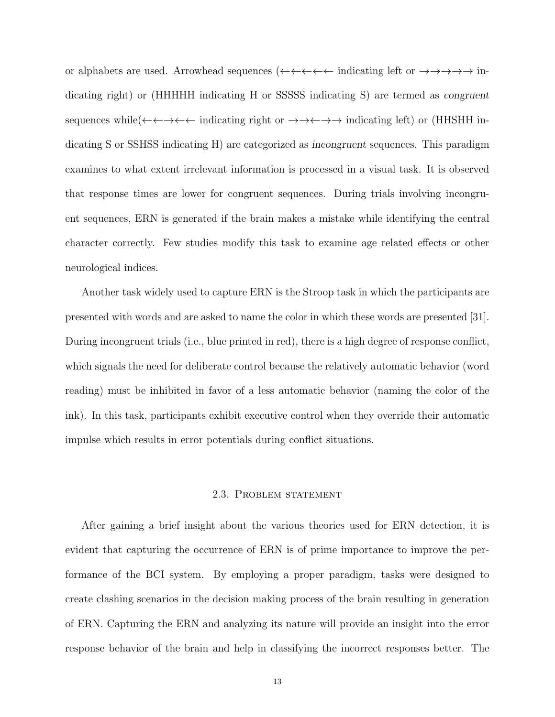or alphabets are used. Arrowhead sequences (←←←←←← indicating left or  $\rightarrow \rightarrow \rightarrow \rightarrow \rightarrow$  indicating right) or (HHHHH indicating H or SSSSS indicating S) are termed as congruent sequences while  $(\leftarrow \leftarrow \rightarrow \leftarrow \leftarrow$  indicating right or  $\rightarrow \rightarrow \leftarrow \rightarrow \rightarrow$  indicating left) or (HHSHH indicating S or SSHSS indicating H) are categorized as incongruent sequences. This paradigm examines to what extent irrelevant information is processed in a visual task. It is observed that response times are lower for congruent sequences. During trials involving incongruent sequences, ERN is generated if the brain makes a mistake while identifying the central character correctly. Few studies modify this task to examine age related effects or other neurological indices.

Another task widely used to capture ERN is the Stroop task in which the participants are presented with words and are asked to name the color in which these words are presented [31]. During incongruent trials (i.e., blue printed in red), there is a high degree of response conflict, which signals the need for deliberate control because the relatively automatic behavior (word reading) must be inhibited in favor of a less automatic behavior (naming the color of the ink). In this task, participants exhibit executive control when they override their automatic impulse which results in error potentials during conflict situations.

#### 2.3. Problem statement

After gaining a brief insight about the various theories used for ERN detection, it is evident that capturing the occurrence of ERN is of prime importance to improve the performance of the BCI system. By employing a proper paradigm, tasks were designed to create clashing scenarios in the decision making process of the brain resulting in generation of ERN. Capturing the ERN and analyzing its nature will provide an insight into the error response behavior of the brain and help in classifying the incorrect responses better. The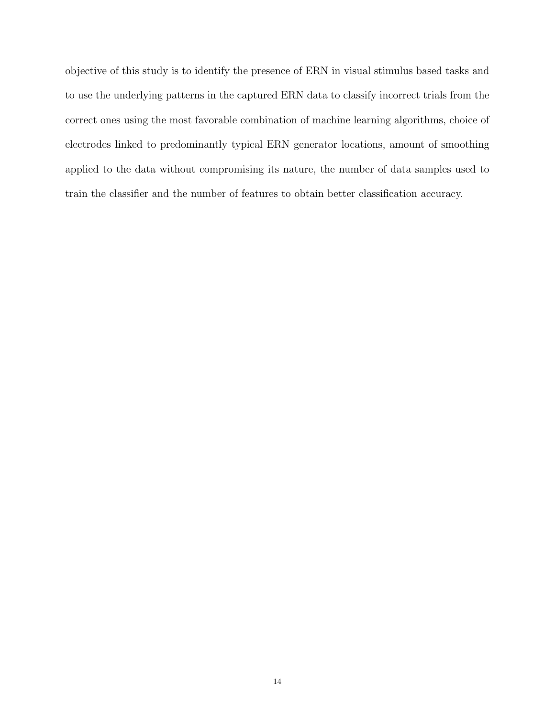objective of this study is to identify the presence of ERN in visual stimulus based tasks and to use the underlying patterns in the captured ERN data to classify incorrect trials from the correct ones using the most favorable combination of machine learning algorithms, choice of electrodes linked to predominantly typical ERN generator locations, amount of smoothing applied to the data without compromising its nature, the number of data samples used to train the classifier and the number of features to obtain better classification accuracy.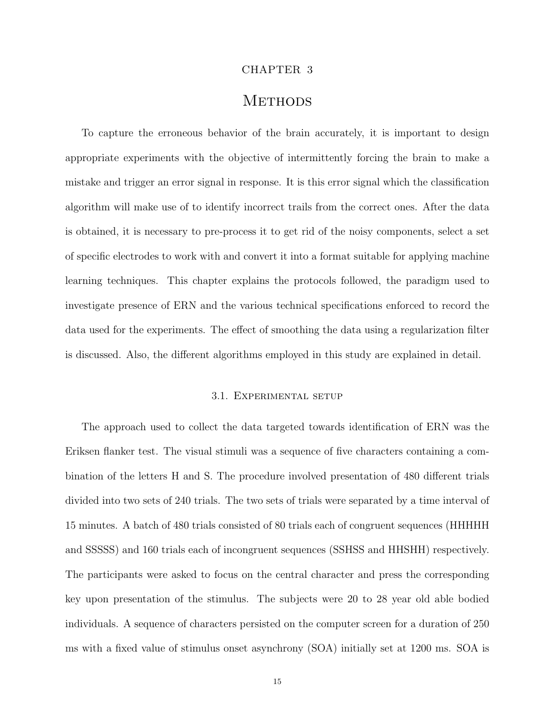#### CHAPTER 3

## **METHODS**

To capture the erroneous behavior of the brain accurately, it is important to design appropriate experiments with the objective of intermittently forcing the brain to make a mistake and trigger an error signal in response. It is this error signal which the classification algorithm will make use of to identify incorrect trails from the correct ones. After the data is obtained, it is necessary to pre-process it to get rid of the noisy components, select a set of specific electrodes to work with and convert it into a format suitable for applying machine learning techniques. This chapter explains the protocols followed, the paradigm used to investigate presence of ERN and the various technical specifications enforced to record the data used for the experiments. The effect of smoothing the data using a regularization filter is discussed. Also, the different algorithms employed in this study are explained in detail.

#### 3.1. Experimental setup

The approach used to collect the data targeted towards identification of ERN was the Eriksen flanker test. The visual stimuli was a sequence of five characters containing a combination of the letters H and S. The procedure involved presentation of 480 different trials divided into two sets of 240 trials. The two sets of trials were separated by a time interval of 15 minutes. A batch of 480 trials consisted of 80 trials each of congruent sequences (HHHHH and SSSSS) and 160 trials each of incongruent sequences (SSHSS and HHSHH) respectively. The participants were asked to focus on the central character and press the corresponding key upon presentation of the stimulus. The subjects were 20 to 28 year old able bodied individuals. A sequence of characters persisted on the computer screen for a duration of 250 ms with a fixed value of stimulus onset asynchrony (SOA) initially set at 1200 ms. SOA is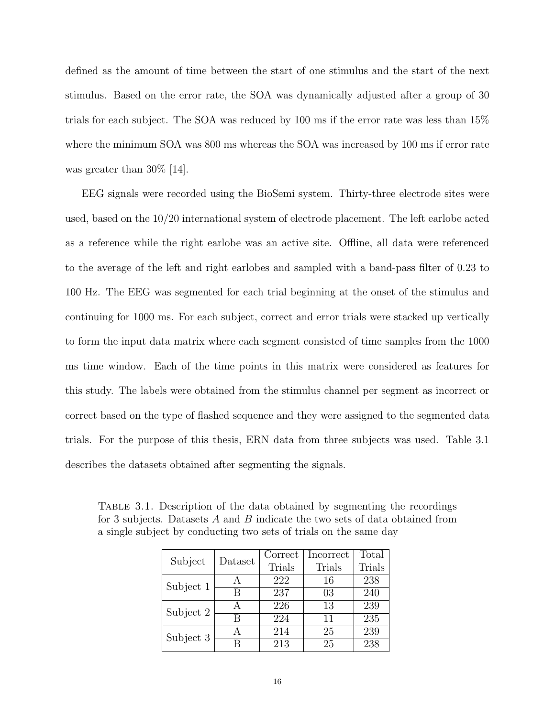defined as the amount of time between the start of one stimulus and the start of the next stimulus. Based on the error rate, the SOA was dynamically adjusted after a group of 30 trials for each subject. The SOA was reduced by 100 ms if the error rate was less than 15% where the minimum SOA was 800 ms whereas the SOA was increased by 100 ms if error rate was greater than 30% [14].

EEG signals were recorded using the BioSemi system. Thirty-three electrode sites were used, based on the 10/20 international system of electrode placement. The left earlobe acted as a reference while the right earlobe was an active site. Offline, all data were referenced to the average of the left and right earlobes and sampled with a band-pass filter of 0.23 to 100 Hz. The EEG was segmented for each trial beginning at the onset of the stimulus and continuing for 1000 ms. For each subject, correct and error trials were stacked up vertically to form the input data matrix where each segment consisted of time samples from the 1000 ms time window. Each of the time points in this matrix were considered as features for this study. The labels were obtained from the stimulus channel per segment as incorrect or correct based on the type of flashed sequence and they were assigned to the segmented data trials. For the purpose of this thesis, ERN data from three subjects was used. Table 3.1 describes the datasets obtained after segmenting the signals.

Table 3.1. Description of the data obtained by segmenting the recordings for 3 subjects. Datasets A and B indicate the two sets of data obtained from a single subject by conducting two sets of trials on the same day

|           | Dataset | Correct | Incorrect | Total  |
|-----------|---------|---------|-----------|--------|
| Subject   |         | Trials  | Trials    | Trials |
| Subject 1 |         | 222     | 16        | 238    |
|           | R       | 237     | 03        | 240    |
| Subject 2 |         | 226     | 13        | 239    |
|           | R       | 224     | 11        | 235    |
| Subject 3 |         | 214     | 25        | 239    |
|           |         | 213     | 25        | 238    |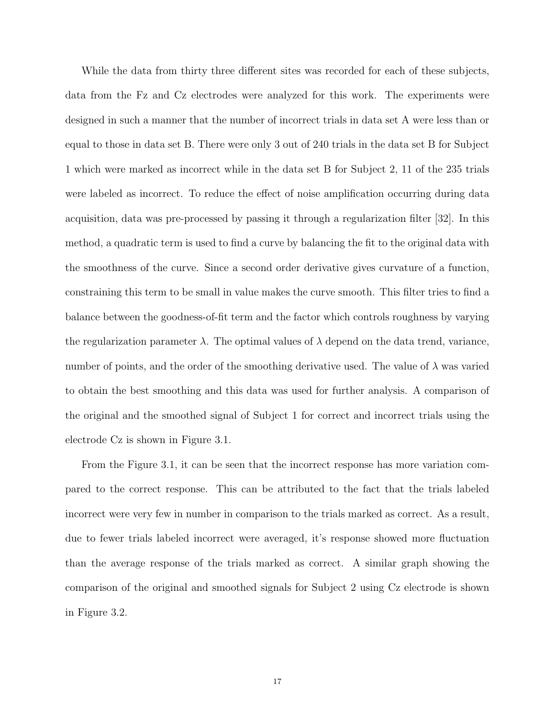While the data from thirty three different sites was recorded for each of these subjects, data from the Fz and Cz electrodes were analyzed for this work. The experiments were designed in such a manner that the number of incorrect trials in data set A were less than or equal to those in data set B. There were only 3 out of 240 trials in the data set B for Subject 1 which were marked as incorrect while in the data set B for Subject 2, 11 of the 235 trials were labeled as incorrect. To reduce the effect of noise amplification occurring during data acquisition, data was pre-processed by passing it through a regularization filter [32]. In this method, a quadratic term is used to find a curve by balancing the fit to the original data with the smoothness of the curve. Since a second order derivative gives curvature of a function, constraining this term to be small in value makes the curve smooth. This filter tries to find a balance between the goodness-of-fit term and the factor which controls roughness by varying the regularization parameter  $\lambda$ . The optimal values of  $\lambda$  depend on the data trend, variance, number of points, and the order of the smoothing derivative used. The value of  $\lambda$  was varied to obtain the best smoothing and this data was used for further analysis. A comparison of the original and the smoothed signal of Subject 1 for correct and incorrect trials using the electrode Cz is shown in Figure 3.1.

From the Figure 3.1, it can be seen that the incorrect response has more variation compared to the correct response. This can be attributed to the fact that the trials labeled incorrect were very few in number in comparison to the trials marked as correct. As a result, due to fewer trials labeled incorrect were averaged, it's response showed more fluctuation than the average response of the trials marked as correct. A similar graph showing the comparison of the original and smoothed signals for Subject 2 using Cz electrode is shown in Figure 3.2.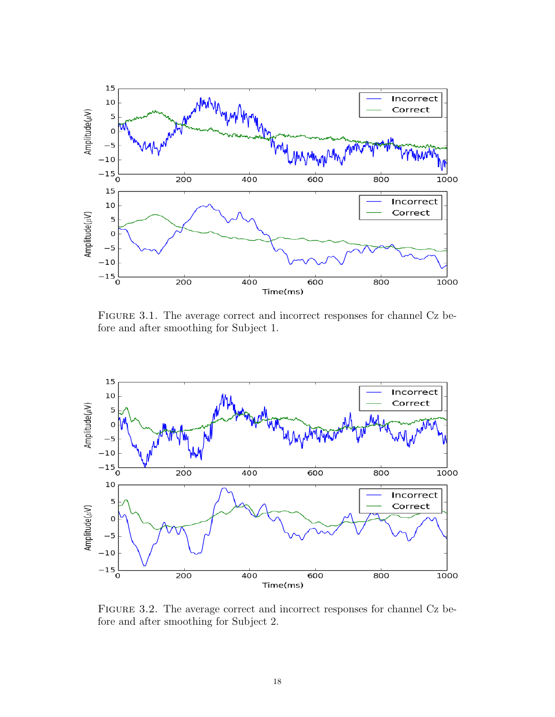

Figure 3.1. The average correct and incorrect responses for channel Cz before and after smoothing for Subject 1.



Figure 3.2. The average correct and incorrect responses for channel Cz before and after smoothing for Subject 2.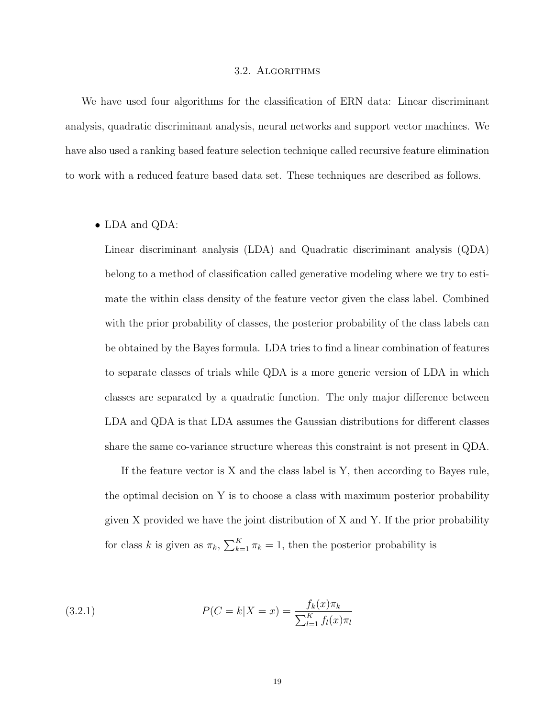#### 3.2. Algorithms

We have used four algorithms for the classification of ERN data: Linear discriminant analysis, quadratic discriminant analysis, neural networks and support vector machines. We have also used a ranking based feature selection technique called recursive feature elimination to work with a reduced feature based data set. These techniques are described as follows.

#### • LDA and QDA:

Linear discriminant analysis (LDA) and Quadratic discriminant analysis (QDA) belong to a method of classification called generative modeling where we try to estimate the within class density of the feature vector given the class label. Combined with the prior probability of classes, the posterior probability of the class labels can be obtained by the Bayes formula. LDA tries to find a linear combination of features to separate classes of trials while QDA is a more generic version of LDA in which classes are separated by a quadratic function. The only major difference between LDA and QDA is that LDA assumes the Gaussian distributions for different classes share the same co-variance structure whereas this constraint is not present in QDA.

If the feature vector is X and the class label is Y, then according to Bayes rule, the optimal decision on Y is to choose a class with maximum posterior probability given X provided we have the joint distribution of X and Y. If the prior probability for class k is given as  $\pi_k$ ,  $\sum_{k=1}^K \pi_k = 1$ , then the posterior probability is

(3.2.1) 
$$
P(C = k | X = x) = \frac{f_k(x)\pi_k}{\sum_{l=1}^K f_l(x)\pi_l}
$$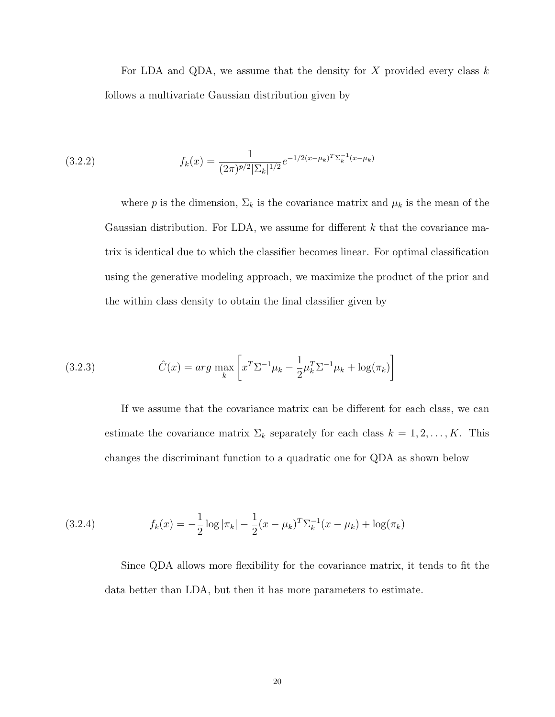For LDA and QDA, we assume that the density for X provided every class  $k$ follows a multivariate Gaussian distribution given by

(3.2.2) 
$$
f_k(x) = \frac{1}{(2\pi)^{p/2} |\Sigma_k|^{1/2}} e^{-1/2(x-\mu_k)^T \Sigma_k^{-1}(x-\mu_k)}
$$

where p is the dimension,  $\Sigma_k$  is the covariance matrix and  $\mu_k$  is the mean of the Gaussian distribution. For LDA, we assume for different  $k$  that the covariance matrix is identical due to which the classifier becomes linear. For optimal classification using the generative modeling approach, we maximize the product of the prior and the within class density to obtain the final classifier given by

(3.2.3) 
$$
\hat{C}(x) = arg \max_{k} \left[ x^T \Sigma^{-1} \mu_k - \frac{1}{2} \mu_k^T \Sigma^{-1} \mu_k + \log(\pi_k) \right]
$$

If we assume that the covariance matrix can be different for each class, we can estimate the covariance matrix  $\Sigma_k$  separately for each class  $k = 1, 2, ..., K$ . This changes the discriminant function to a quadratic one for QDA as shown below

(3.2.4) 
$$
f_k(x) = -\frac{1}{2}\log|\pi_k| - \frac{1}{2}(x - \mu_k)^T \Sigma_k^{-1}(x - \mu_k) + \log(\pi_k)
$$

Since QDA allows more flexibility for the covariance matrix, it tends to fit the data better than LDA, but then it has more parameters to estimate.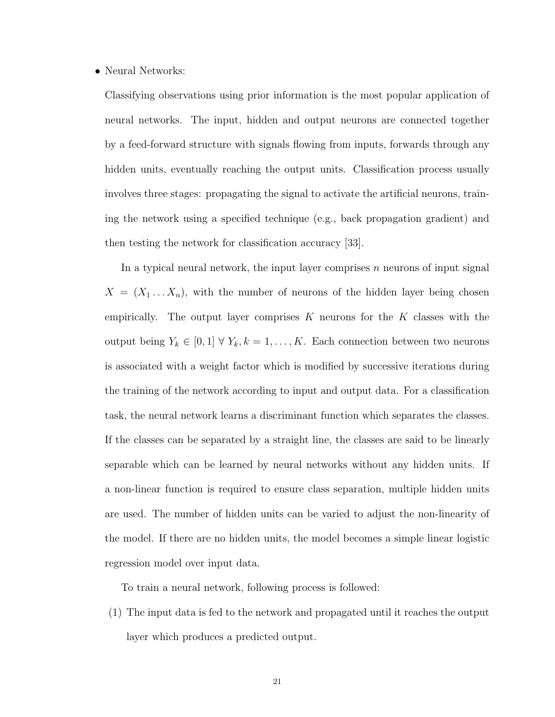#### • Neural Networks:

Classifying observations using prior information is the most popular application of neural networks. The input, hidden and output neurons are connected together by a feed-forward structure with signals flowing from inputs, forwards through any hidden units, eventually reaching the output units. Classification process usually involves three stages: propagating the signal to activate the artificial neurons, training the network using a specified technique (e.g., back propagation gradient) and then testing the network for classification accuracy [33].

In a typical neural network, the input layer comprises  $n$  neurons of input signal  $X = (X_1 \dots X_n)$ , with the number of neurons of the hidden layer being chosen empirically. The output layer comprises K neurons for the K classes with the output being  $Y_k \in [0,1] \forall Y_k, k = 1, \ldots, K$ . Each connection between two neurons is associated with a weight factor which is modified by successive iterations during the training of the network according to input and output data. For a classification task, the neural network learns a discriminant function which separates the classes. If the classes can be separated by a straight line, the classes are said to be linearly separable which can be learned by neural networks without any hidden units. If a non-linear function is required to ensure class separation, multiple hidden units are used. The number of hidden units can be varied to adjust the non-linearity of the model. If there are no hidden units, the model becomes a simple linear logistic regression model over input data.

To train a neural network, following process is followed:

(1) The input data is fed to the network and propagated until it reaches the output layer which produces a predicted output.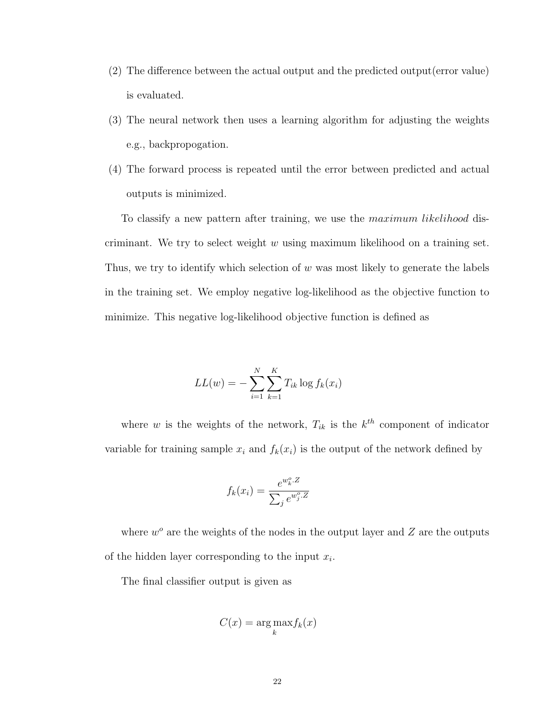- (2) The difference between the actual output and the predicted output(error value) is evaluated.
- (3) The neural network then uses a learning algorithm for adjusting the weights e.g., backpropogation.
- (4) The forward process is repeated until the error between predicted and actual outputs is minimized.

To classify a new pattern after training, we use the maximum likelihood discriminant. We try to select weight  $w$  using maximum likelihood on a training set. Thus, we try to identify which selection of  $w$  was most likely to generate the labels in the training set. We employ negative log-likelihood as the objective function to minimize. This negative log-likelihood objective function is defined as

$$
LL(w) = -\sum_{i=1}^{N} \sum_{k=1}^{K} T_{ik} \log f_k(x_i)
$$

where w is the weights of the network,  $T_{ik}$  is the  $k^{th}$  component of indicator variable for training sample  $x_i$  and  $f_k(x_i)$  is the output of the network defined by

$$
f_k(x_i) = \frac{e^{w_k^o \cdot Z}}{\sum_j e^{w_j^o \cdot Z}}
$$

where  $w^o$  are the weights of the nodes in the output layer and  $Z$  are the outputs of the hidden layer corresponding to the input  $x_i$ .

The final classifier output is given as

$$
C(x) = \underset{k}{\arg\max} f_k(x)
$$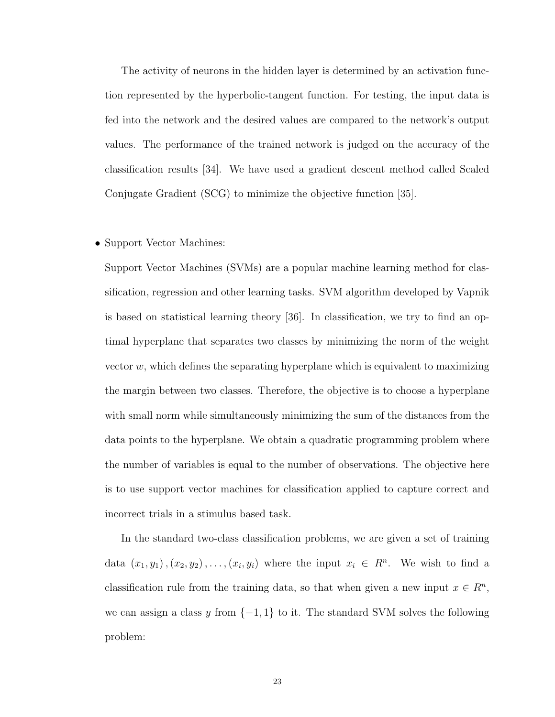The activity of neurons in the hidden layer is determined by an activation function represented by the hyperbolic-tangent function. For testing, the input data is fed into the network and the desired values are compared to the network's output values. The performance of the trained network is judged on the accuracy of the classification results [34]. We have used a gradient descent method called Scaled Conjugate Gradient (SCG) to minimize the objective function [35].

#### • Support Vector Machines:

Support Vector Machines (SVMs) are a popular machine learning method for classification, regression and other learning tasks. SVM algorithm developed by Vapnik is based on statistical learning theory [36]. In classification, we try to find an optimal hyperplane that separates two classes by minimizing the norm of the weight vector  $w$ , which defines the separating hyperplane which is equivalent to maximizing the margin between two classes. Therefore, the objective is to choose a hyperplane with small norm while simultaneously minimizing the sum of the distances from the data points to the hyperplane. We obtain a quadratic programming problem where the number of variables is equal to the number of observations. The objective here is to use support vector machines for classification applied to capture correct and incorrect trials in a stimulus based task.

In the standard two-class classification problems, we are given a set of training data  $(x_1, y_1), (x_2, y_2), \ldots, (x_i, y_i)$  where the input  $x_i \in R^n$ . We wish to find a classification rule from the training data, so that when given a new input  $x \in \mathbb{R}^n$ , we can assign a class y from  $\{-1, 1\}$  to it. The standard SVM solves the following problem: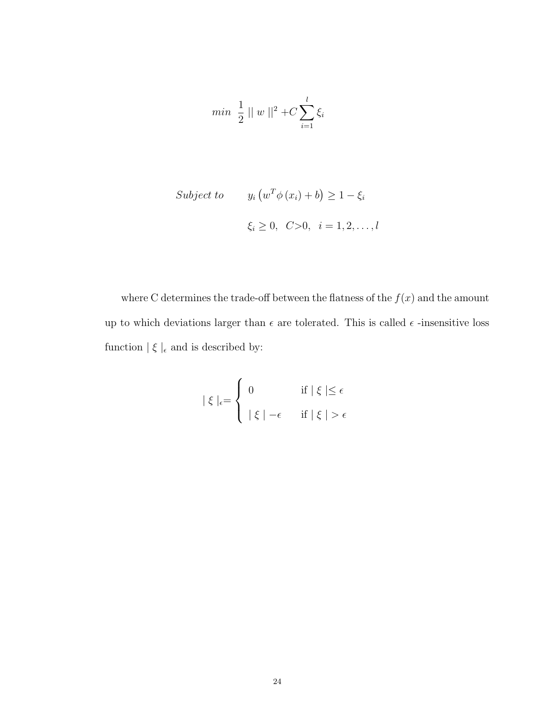$$
min \ \ \frac{1}{2} \ || \ w \ ||^2 + C \sum_{i=1}^{l} \xi_i
$$

$$
Subject\ to\qquad y_i \left( w^T \phi \left( x_i \right) + b \right) \ge 1 - \xi_i
$$
\n
$$
\xi_i \ge 0, \quad C > 0, \quad i = 1, 2, \dots, l
$$

where C determines the trade-off between the flatness of the  $f(x)$  and the amount up to which deviations larger than  $\epsilon$  are tolerated. This is called  $\epsilon$  -insensitive loss function  $\mid \xi \mid_{\epsilon}$  and is described by:

$$
|\xi|_{\epsilon} = \begin{cases} 0 & \text{if } |\xi| \leq \epsilon \\ |\xi| - \epsilon & \text{if } |\xi| > \epsilon \end{cases}
$$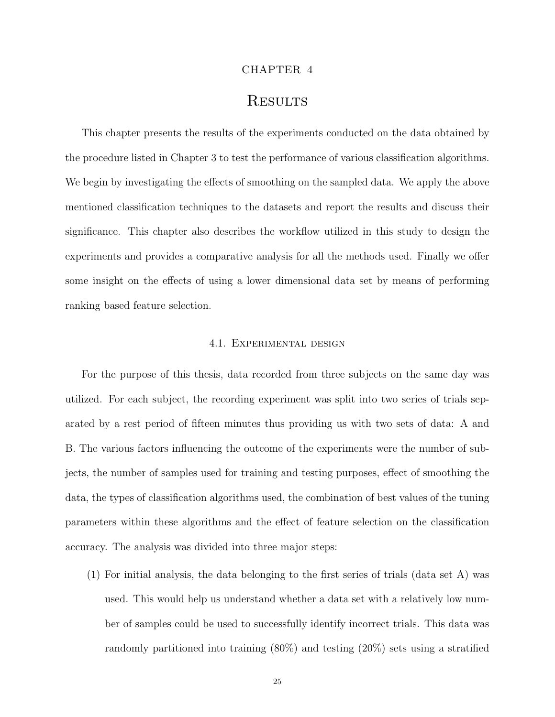#### CHAPTER 4

## **RESULTS**

This chapter presents the results of the experiments conducted on the data obtained by the procedure listed in Chapter 3 to test the performance of various classification algorithms. We begin by investigating the effects of smoothing on the sampled data. We apply the above mentioned classification techniques to the datasets and report the results and discuss their significance. This chapter also describes the workflow utilized in this study to design the experiments and provides a comparative analysis for all the methods used. Finally we offer some insight on the effects of using a lower dimensional data set by means of performing ranking based feature selection.

#### 4.1. Experimental design

For the purpose of this thesis, data recorded from three subjects on the same day was utilized. For each subject, the recording experiment was split into two series of trials separated by a rest period of fifteen minutes thus providing us with two sets of data: A and B. The various factors influencing the outcome of the experiments were the number of subjects, the number of samples used for training and testing purposes, effect of smoothing the data, the types of classification algorithms used, the combination of best values of the tuning parameters within these algorithms and the effect of feature selection on the classification accuracy. The analysis was divided into three major steps:

(1) For initial analysis, the data belonging to the first series of trials (data set A) was used. This would help us understand whether a data set with a relatively low number of samples could be used to successfully identify incorrect trials. This data was randomly partitioned into training (80%) and testing (20%) sets using a stratified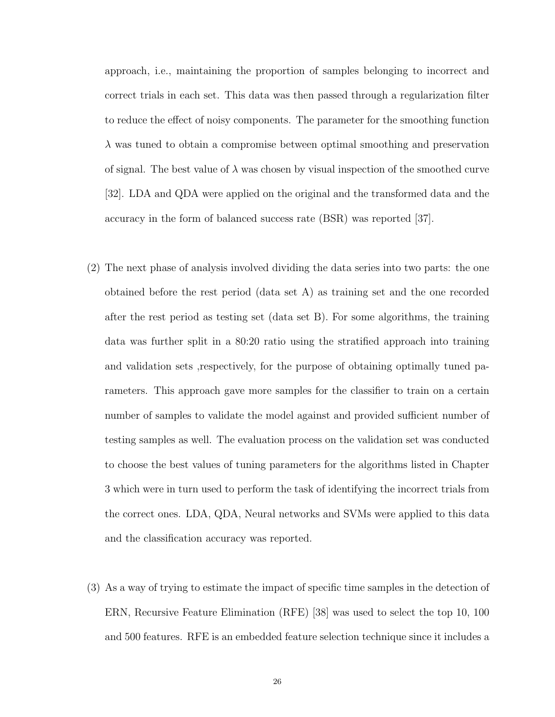approach, i.e., maintaining the proportion of samples belonging to incorrect and correct trials in each set. This data was then passed through a regularization filter to reduce the effect of noisy components. The parameter for the smoothing function  $\lambda$  was tuned to obtain a compromise between optimal smoothing and preservation of signal. The best value of  $\lambda$  was chosen by visual inspection of the smoothed curve [32]. LDA and QDA were applied on the original and the transformed data and the accuracy in the form of balanced success rate (BSR) was reported [37].

- (2) The next phase of analysis involved dividing the data series into two parts: the one obtained before the rest period (data set A) as training set and the one recorded after the rest period as testing set (data set B). For some algorithms, the training data was further split in a 80:20 ratio using the stratified approach into training and validation sets ,respectively, for the purpose of obtaining optimally tuned parameters. This approach gave more samples for the classifier to train on a certain number of samples to validate the model against and provided sufficient number of testing samples as well. The evaluation process on the validation set was conducted to choose the best values of tuning parameters for the algorithms listed in Chapter 3 which were in turn used to perform the task of identifying the incorrect trials from the correct ones. LDA, QDA, Neural networks and SVMs were applied to this data and the classification accuracy was reported.
- (3) As a way of trying to estimate the impact of specific time samples in the detection of ERN, Recursive Feature Elimination (RFE) [38] was used to select the top 10, 100 and 500 features. RFE is an embedded feature selection technique since it includes a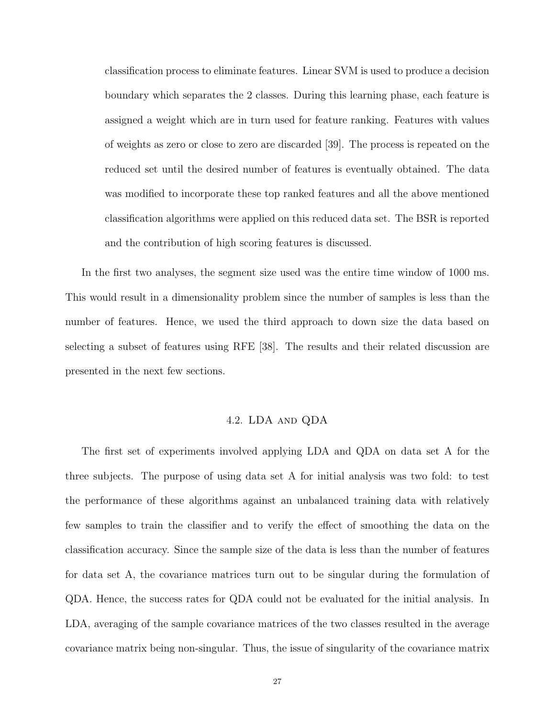classification process to eliminate features. Linear SVM is used to produce a decision boundary which separates the 2 classes. During this learning phase, each feature is assigned a weight which are in turn used for feature ranking. Features with values of weights as zero or close to zero are discarded [39]. The process is repeated on the reduced set until the desired number of features is eventually obtained. The data was modified to incorporate these top ranked features and all the above mentioned classification algorithms were applied on this reduced data set. The BSR is reported and the contribution of high scoring features is discussed.

In the first two analyses, the segment size used was the entire time window of 1000 ms. This would result in a dimensionality problem since the number of samples is less than the number of features. Hence, we used the third approach to down size the data based on selecting a subset of features using RFE [38]. The results and their related discussion are presented in the next few sections.

#### 4.2. LDA and QDA

The first set of experiments involved applying LDA and QDA on data set A for the three subjects. The purpose of using data set A for initial analysis was two fold: to test the performance of these algorithms against an unbalanced training data with relatively few samples to train the classifier and to verify the effect of smoothing the data on the classification accuracy. Since the sample size of the data is less than the number of features for data set A, the covariance matrices turn out to be singular during the formulation of QDA. Hence, the success rates for QDA could not be evaluated for the initial analysis. In LDA, averaging of the sample covariance matrices of the two classes resulted in the average covariance matrix being non-singular. Thus, the issue of singularity of the covariance matrix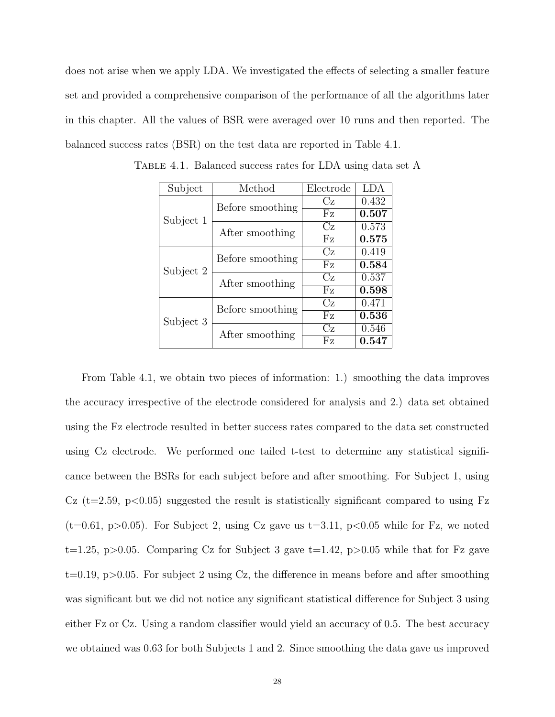does not arise when we apply LDA. We investigated the effects of selecting a smaller feature set and provided a comprehensive comparison of the performance of all the algorithms later in this chapter. All the values of BSR were averaged over 10 runs and then reported. The balanced success rates (BSR) on the test data are reported in Table 4.1.

| Subject   | Method           | Electrode | <b>LDA</b> |
|-----------|------------------|-----------|------------|
|           | Before smoothing | Сz        | 0.432      |
| Subject 1 |                  | Fz        | 0.507      |
|           | After smoothing  | Cz        | 0.573      |
|           |                  | Fz        | 0.575      |
| Subject 2 | Before smoothing | Cz        | 0.419      |
|           |                  | Fz        | 0.584      |
|           | After smoothing  | Cz        | 0.537      |
|           |                  | Fz        | 0.598      |
|           |                  |           | 0.471      |
| Subject 3 | Before smoothing | Fz        | 0.536      |
|           | After smoothing  | Cz        | 0.546      |
|           |                  | Fz        | 0.547      |

TABLE 4.1. Balanced success rates for LDA using data set A

From Table 4.1, we obtain two pieces of information: 1.) smoothing the data improves the accuracy irrespective of the electrode considered for analysis and 2.) data set obtained using the Fz electrode resulted in better success rates compared to the data set constructed using Cz electrode. We performed one tailed t-test to determine any statistical significance between the BSRs for each subject before and after smoothing. For Subject 1, using Cz (t=2.59, p $\lt 0.05$ ) suggested the result is statistically significant compared to using Fz  $(t=0.61, p>0.05)$ . For Subject 2, using Cz gave us  $t=3.11, p<0.05$  while for Fz, we noted t=1.25, p>0.05. Comparing Cz for Subject 3 gave t=1.42, p>0.05 while that for Fz gave  $t=0.19$ ,  $p>0.05$ . For subject 2 using Cz, the difference in means before and after smoothing was significant but we did not notice any significant statistical difference for Subject 3 using either Fz or Cz. Using a random classifier would yield an accuracy of 0.5. The best accuracy we obtained was 0.63 for both Subjects 1 and 2. Since smoothing the data gave us improved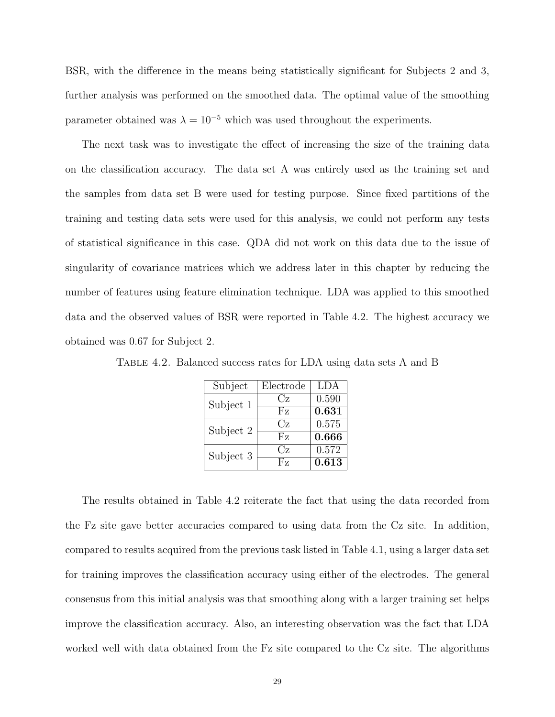BSR, with the difference in the means being statistically significant for Subjects 2 and 3, further analysis was performed on the smoothed data. The optimal value of the smoothing parameter obtained was  $\lambda = 10^{-5}$  which was used throughout the experiments.

The next task was to investigate the effect of increasing the size of the training data on the classification accuracy. The data set A was entirely used as the training set and the samples from data set B were used for testing purpose. Since fixed partitions of the training and testing data sets were used for this analysis, we could not perform any tests of statistical significance in this case. QDA did not work on this data due to the issue of singularity of covariance matrices which we address later in this chapter by reducing the number of features using feature elimination technique. LDA was applied to this smoothed data and the observed values of BSR were reported in Table 4.2. The highest accuracy we obtained was 0.67 for Subject 2.

| Subject   | Electrode      | <b>LDA</b> |
|-----------|----------------|------------|
| Subject 1 | Cz             | 0.590      |
|           | Fz             | 0.631      |
| Subject 2 | $C_Z$          | 0.575      |
|           | F <sub>z</sub> | 0.666      |
| Subject 3 | Cz.            | 0.572      |
|           | $_{\rm{Fz}}$   | 0.613      |

Table 4.2. Balanced success rates for LDA using data sets A and B

The results obtained in Table 4.2 reiterate the fact that using the data recorded from the Fz site gave better accuracies compared to using data from the Cz site. In addition, compared to results acquired from the previous task listed in Table 4.1, using a larger data set for training improves the classification accuracy using either of the electrodes. The general consensus from this initial analysis was that smoothing along with a larger training set helps improve the classification accuracy. Also, an interesting observation was the fact that LDA worked well with data obtained from the Fz site compared to the Cz site. The algorithms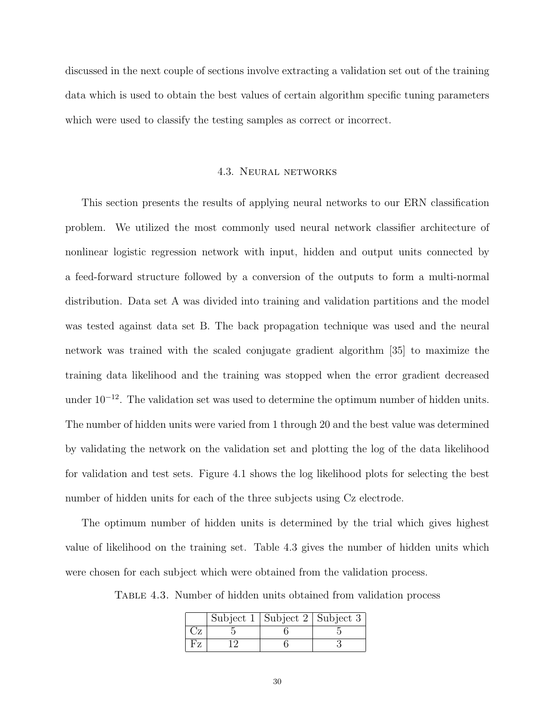discussed in the next couple of sections involve extracting a validation set out of the training data which is used to obtain the best values of certain algorithm specific tuning parameters which were used to classify the testing samples as correct or incorrect.

#### 4.3. Neural networks

This section presents the results of applying neural networks to our ERN classification problem. We utilized the most commonly used neural network classifier architecture of nonlinear logistic regression network with input, hidden and output units connected by a feed-forward structure followed by a conversion of the outputs to form a multi-normal distribution. Data set A was divided into training and validation partitions and the model was tested against data set B. The back propagation technique was used and the neural network was trained with the scaled conjugate gradient algorithm [35] to maximize the training data likelihood and the training was stopped when the error gradient decreased under  $10^{-12}$ . The validation set was used to determine the optimum number of hidden units. The number of hidden units were varied from 1 through 20 and the best value was determined by validating the network on the validation set and plotting the log of the data likelihood for validation and test sets. Figure 4.1 shows the log likelihood plots for selecting the best number of hidden units for each of the three subjects using Cz electrode.

The optimum number of hidden units is determined by the trial which gives highest value of likelihood on the training set. Table 4.3 gives the number of hidden units which were chosen for each subject which were obtained from the validation process.

Table 4.3. Number of hidden units obtained from validation process

|  | Subject 1   Subject 2   Subject 3 |  |
|--|-----------------------------------|--|
|  |                                   |  |
|  |                                   |  |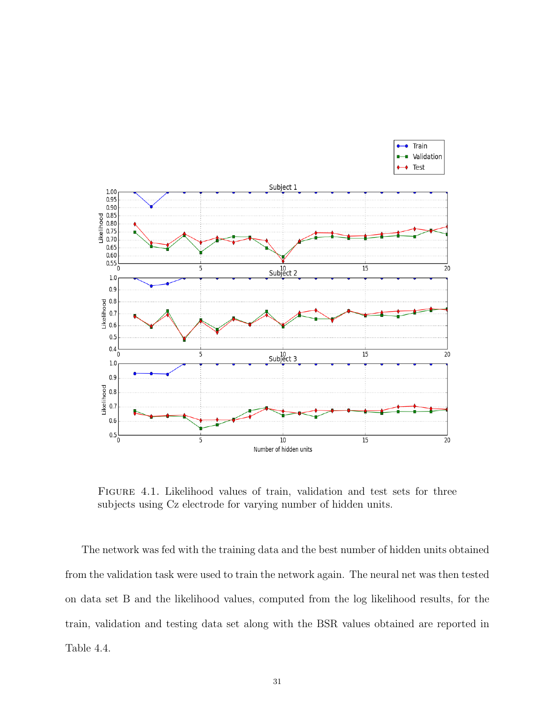

Figure 4.1. Likelihood values of train, validation and test sets for three subjects using Cz electrode for varying number of hidden units.

The network was fed with the training data and the best number of hidden units obtained from the validation task were used to train the network again. The neural net was then tested on data set B and the likelihood values, computed from the log likelihood results, for the train, validation and testing data set along with the BSR values obtained are reported in Table 4.4.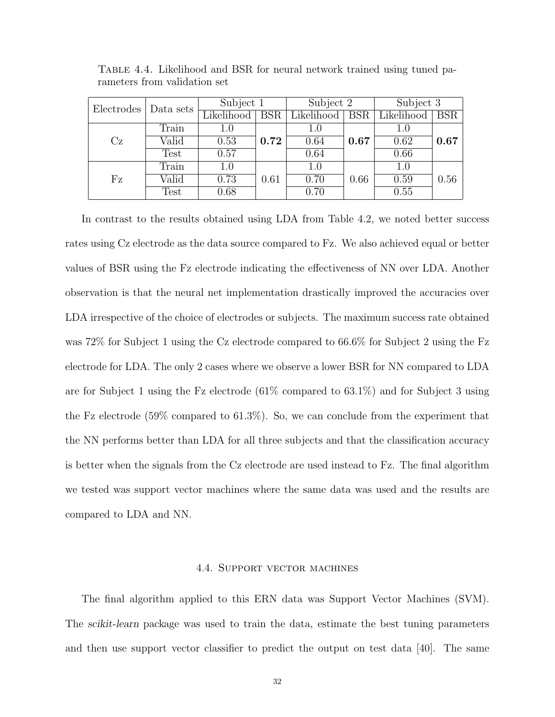| Electrodes | Data sets | Subject 1  |                         | Subject 2  |            | Subject 3  |      |
|------------|-----------|------------|-------------------------|------------|------------|------------|------|
|            |           | Likelihood | $\overline{\text{BSR}}$ | Likelihood | <b>BSR</b> | Likelihood | BSR  |
|            | Train     | $1.0\,$    |                         | 1.0        |            | 1.0        |      |
| Cz         | Valid     | 0.53       | 0.72                    | 0.64       | 0.67       | 0.62       | 0.67 |
|            | Test      | 0.57       |                         | 0.64       |            | 0.66       |      |
|            | Train     | $1.0\,$    |                         | 1.0        |            | 1.0        |      |
| Fz         | Valid     | 0.73       | 0.61                    | 0.70       | 0.66       | 0.59       | 0.56 |
|            | Test      | 0.68       |                         | 0.70       |            | 0.55       |      |

Table 4.4. Likelihood and BSR for neural network trained using tuned parameters from validation set

In contrast to the results obtained using LDA from Table 4.2, we noted better success rates using Cz electrode as the data source compared to Fz. We also achieved equal or better values of BSR using the Fz electrode indicating the effectiveness of NN over LDA. Another observation is that the neural net implementation drastically improved the accuracies over LDA irrespective of the choice of electrodes or subjects. The maximum success rate obtained was 72% for Subject 1 using the Cz electrode compared to 66.6% for Subject 2 using the Fz electrode for LDA. The only 2 cases where we observe a lower BSR for NN compared to LDA are for Subject 1 using the Fz electrode (61% compared to 63.1%) and for Subject 3 using the Fz electrode (59% compared to 61.3%). So, we can conclude from the experiment that the NN performs better than LDA for all three subjects and that the classification accuracy is better when the signals from the Cz electrode are used instead to Fz. The final algorithm we tested was support vector machines where the same data was used and the results are compared to LDA and NN.

#### 4.4. Support vector machines

The final algorithm applied to this ERN data was Support Vector Machines (SVM). The scikit-learn package was used to train the data, estimate the best tuning parameters and then use support vector classifier to predict the output on test data [40]. The same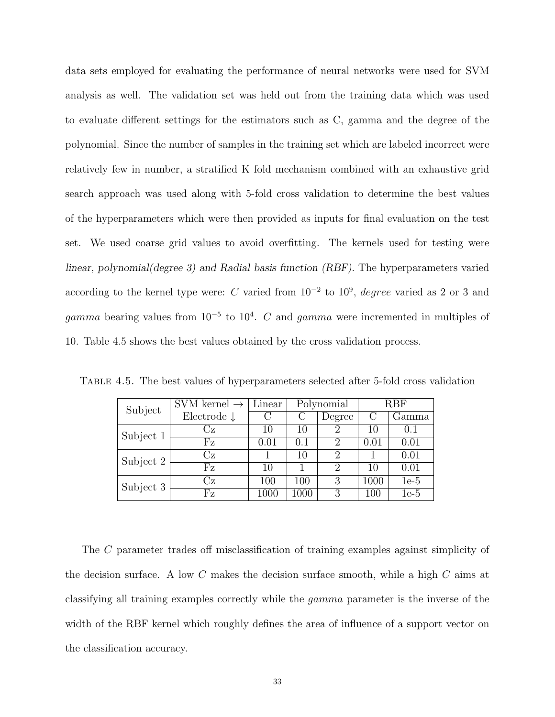data sets employed for evaluating the performance of neural networks were used for SVM analysis as well. The validation set was held out from the training data which was used to evaluate different settings for the estimators such as C, gamma and the degree of the polynomial. Since the number of samples in the training set which are labeled incorrect were relatively few in number, a stratified K fold mechanism combined with an exhaustive grid search approach was used along with 5-fold cross validation to determine the best values of the hyperparameters which were then provided as inputs for final evaluation on the test set. We used coarse grid values to avoid overfitting. The kernels used for testing were linear, polynomial(degree 3) and Radial basis function (RBF). The hyperparameters varied according to the kernel type were: C varied from  $10^{-2}$  to  $10^{9}$ , *degree* varied as 2 or 3 and gamma bearing values from  $10^{-5}$  to  $10^{4}$ . C and gamma were incremented in multiples of 10. Table 4.5 shows the best values obtained by the cross validation process.

| Subject   | SVM kernel $\rightarrow$ | Linear | Polynomial |                | RBF  |        |
|-----------|--------------------------|--------|------------|----------------|------|--------|
|           | Electrode $\downarrow$   |        |            | Degree         | С    | Gamma  |
| Subject 1 | Сz                       | 10     | 10         | 2              | 10   | (0.1)  |
|           | ${\rm Fz}$               | 0.01   | 0.1        | $\overline{2}$ | 0.01 | 0.01   |
| Subject 2 | Cz                       |        | 10         | 2              |      | 0.01   |
|           | Fz                       | 10     |            | 2              | 10   | 0.01   |
| Subject 3 | Сz                       | 100    | 100        | 3              | 1000 | $1e-5$ |
|           | ${\rm Fz}$               | 1000   | 1000       | 3              | 100  | $1e-5$ |

Table 4.5. The best values of hyperparameters selected after 5-fold cross validation

The C parameter trades off misclassification of training examples against simplicity of the decision surface. A low C makes the decision surface smooth, while a high C aims at classifying all training examples correctly while the gamma parameter is the inverse of the width of the RBF kernel which roughly defines the area of influence of a support vector on the classification accuracy.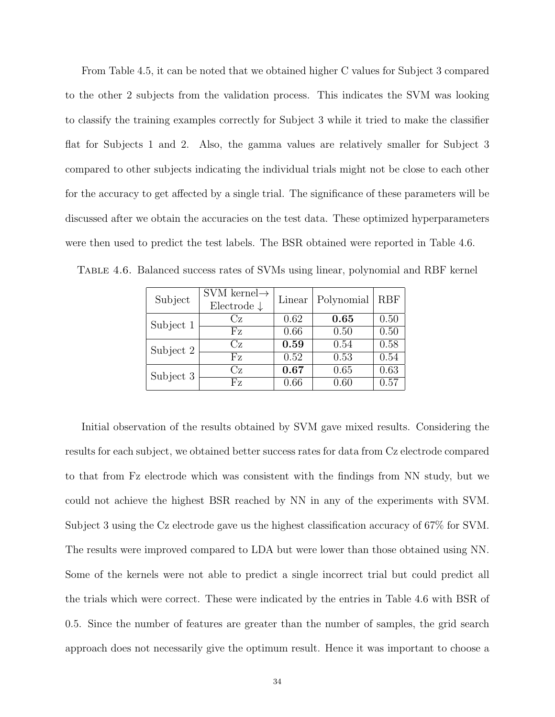From Table 4.5, it can be noted that we obtained higher C values for Subject 3 compared to the other 2 subjects from the validation process. This indicates the SVM was looking to classify the training examples correctly for Subject 3 while it tried to make the classifier flat for Subjects 1 and 2. Also, the gamma values are relatively smaller for Subject 3 compared to other subjects indicating the individual trials might not be close to each other for the accuracy to get affected by a single trial. The significance of these parameters will be discussed after we obtain the accuracies on the test data. These optimized hyperparameters were then used to predict the test labels. The BSR obtained were reported in Table 4.6.

| Subject   | SVM kernel $\rightarrow$<br>Electrode $\downarrow$ | Linear | Polynomial | RBF  |
|-----------|----------------------------------------------------|--------|------------|------|
| Subject 1 | $C_{\mathbf{Z}}$                                   | 0.62   | 0.65       | 0.50 |
|           | Fz                                                 | 0.66   | 0.50       | 0.50 |
| Subject 2 | $\rm{Cz}$                                          | 0.59   | 0.54       | 0.58 |
|           | Fz                                                 | 0.52   | 0.53       | 0.54 |
| Subject 3 | Cz                                                 | 0.67   | 0.65       | 0.63 |
|           | Fz.                                                | 0.66   | 0.60       | 0.57 |

Table 4.6. Balanced success rates of SVMs using linear, polynomial and RBF kernel

Initial observation of the results obtained by SVM gave mixed results. Considering the results for each subject, we obtained better success rates for data from Cz electrode compared to that from Fz electrode which was consistent with the findings from NN study, but we could not achieve the highest BSR reached by NN in any of the experiments with SVM. Subject 3 using the Cz electrode gave us the highest classification accuracy of 67% for SVM. The results were improved compared to LDA but were lower than those obtained using NN. Some of the kernels were not able to predict a single incorrect trial but could predict all the trials which were correct. These were indicated by the entries in Table 4.6 with BSR of 0.5. Since the number of features are greater than the number of samples, the grid search approach does not necessarily give the optimum result. Hence it was important to choose a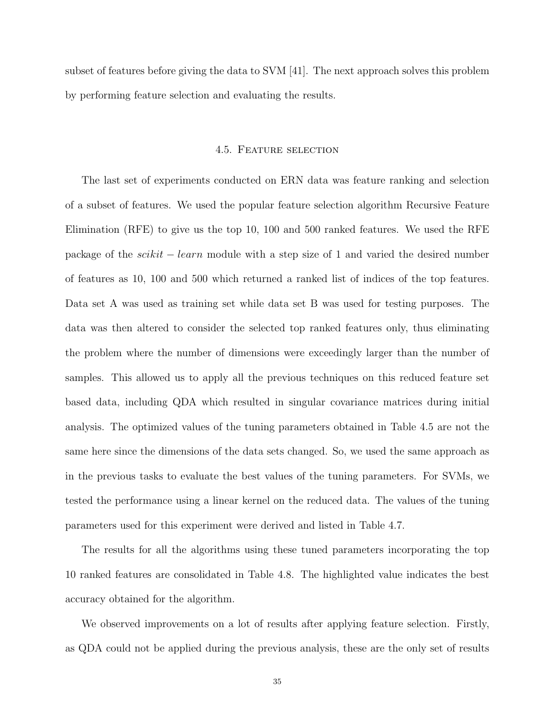subset of features before giving the data to SVM [41]. The next approach solves this problem by performing feature selection and evaluating the results.

#### 4.5. Feature selection

The last set of experiments conducted on ERN data was feature ranking and selection of a subset of features. We used the popular feature selection algorithm Recursive Feature Elimination (RFE) to give us the top 10, 100 and 500 ranked features. We used the RFE package of the scikit − learn module with a step size of 1 and varied the desired number of features as 10, 100 and 500 which returned a ranked list of indices of the top features. Data set A was used as training set while data set B was used for testing purposes. The data was then altered to consider the selected top ranked features only, thus eliminating the problem where the number of dimensions were exceedingly larger than the number of samples. This allowed us to apply all the previous techniques on this reduced feature set based data, including QDA which resulted in singular covariance matrices during initial analysis. The optimized values of the tuning parameters obtained in Table 4.5 are not the same here since the dimensions of the data sets changed. So, we used the same approach as in the previous tasks to evaluate the best values of the tuning parameters. For SVMs, we tested the performance using a linear kernel on the reduced data. The values of the tuning parameters used for this experiment were derived and listed in Table 4.7.

The results for all the algorithms using these tuned parameters incorporating the top 10 ranked features are consolidated in Table 4.8. The highlighted value indicates the best accuracy obtained for the algorithm.

We observed improvements on a lot of results after applying feature selection. Firstly, as QDA could not be applied during the previous analysis, these are the only set of results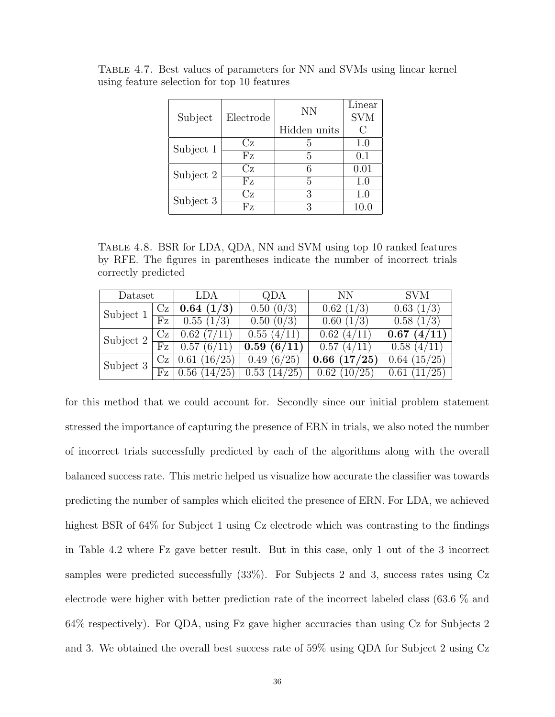| Subject   | Electrode         | <b>NN</b>    | Linear<br><b>SVM</b>                                |
|-----------|-------------------|--------------|-----------------------------------------------------|
|           |                   | Hidden units | $\left( \begin{array}{c} \cdot \end{array} \right)$ |
| Subject 1 | Cz                | 5            | 1.0                                                 |
|           | Fz                | 5            | (0.1)                                               |
| Subject 2 | Cz                |              | 0.01                                                |
|           | ${\rm F} {\rm z}$ | 5            | 1.0                                                 |
| Subject 3 | $\rm{Cz}$         | 3            | 1.0                                                 |
|           | Fz.               | 3            | 10.0                                                |

Table 4.7. Best values of parameters for NN and SVMs using linear kernel using feature selection for top 10 features

Table 4.8. BSR for LDA, QDA, NN and SVM using top 10 ranked features by RFE. The figures in parentheses indicate the number of incorrect trials correctly predicted

| Dataset   |         | LDA           | QDA                    | NN.             | <b>SVM</b>      |
|-----------|---------|---------------|------------------------|-----------------|-----------------|
| Subject 1 | $C_{Z}$ | 0.64~(1/3)    | 0.50~(0/3)             | 0.62(1/3)       | 0.63(1/3)       |
|           | Fz      | 0.55(1/3)     | $0.50~(0\overline{3})$ | 0.60(1/3)       | 0.58(1/3)       |
| Subject 2 | Сz      | 0.62(7/11)    | 0.55(4/11)             | 0.62~(4/11)     | 0.67<br>(4/11)  |
|           | Fz      | 0.57(6/11)    | 0.59(6/11)             | 0.57<br>(4/11)  | 0.58(4/11)      |
| Subject 3 | Cz      | 16/25<br>0.61 | (6/25)<br>0.49         | (17/25)<br>0.66 | (15/25)<br>0.64 |
|           | Fz      | 14/25<br>0.56 | 0.53(14/25)            | (10/25)<br>0.62 | (25)<br>0.61    |

for this method that we could account for. Secondly since our initial problem statement stressed the importance of capturing the presence of ERN in trials, we also noted the number of incorrect trials successfully predicted by each of the algorithms along with the overall balanced success rate. This metric helped us visualize how accurate the classifier was towards predicting the number of samples which elicited the presence of ERN. For LDA, we achieved highest BSR of 64% for Subject 1 using Cz electrode which was contrasting to the findings in Table 4.2 where Fz gave better result. But in this case, only 1 out of the 3 incorrect samples were predicted successfully (33%). For Subjects 2 and 3, success rates using Cz electrode were higher with better prediction rate of the incorrect labeled class (63.6 % and 64% respectively). For QDA, using Fz gave higher accuracies than using Cz for Subjects 2 and 3. We obtained the overall best success rate of 59% using QDA for Subject 2 using Cz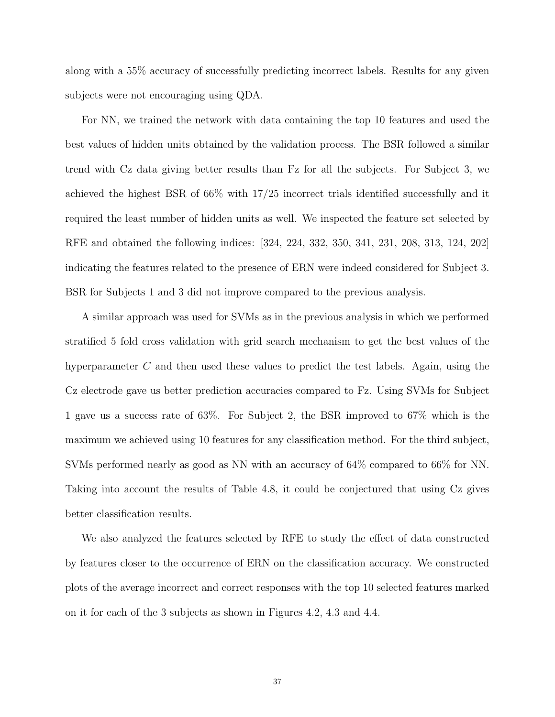along with a 55% accuracy of successfully predicting incorrect labels. Results for any given subjects were not encouraging using QDA.

For NN, we trained the network with data containing the top 10 features and used the best values of hidden units obtained by the validation process. The BSR followed a similar trend with Cz data giving better results than Fz for all the subjects. For Subject 3, we achieved the highest BSR of 66% with 17/25 incorrect trials identified successfully and it required the least number of hidden units as well. We inspected the feature set selected by RFE and obtained the following indices: [324, 224, 332, 350, 341, 231, 208, 313, 124, 202] indicating the features related to the presence of ERN were indeed considered for Subject 3. BSR for Subjects 1 and 3 did not improve compared to the previous analysis.

A similar approach was used for SVMs as in the previous analysis in which we performed stratified 5 fold cross validation with grid search mechanism to get the best values of the hyperparameter C and then used these values to predict the test labels. Again, using the Cz electrode gave us better prediction accuracies compared to Fz. Using SVMs for Subject 1 gave us a success rate of 63%. For Subject 2, the BSR improved to 67% which is the maximum we achieved using 10 features for any classification method. For the third subject, SVMs performed nearly as good as NN with an accuracy of 64% compared to 66% for NN. Taking into account the results of Table 4.8, it could be conjectured that using Cz gives better classification results.

We also analyzed the features selected by RFE to study the effect of data constructed by features closer to the occurrence of ERN on the classification accuracy. We constructed plots of the average incorrect and correct responses with the top 10 selected features marked on it for each of the 3 subjects as shown in Figures 4.2, 4.3 and 4.4.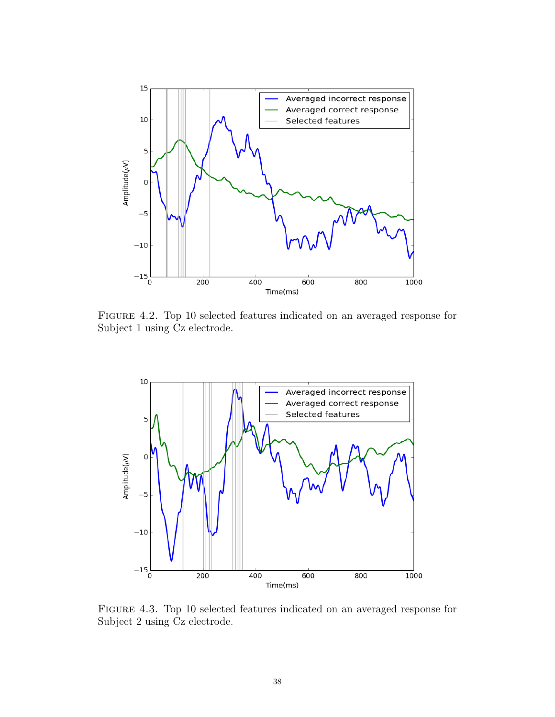

Figure 4.2. Top 10 selected features indicated on an averaged response for Subject 1 using Cz electrode.



Figure 4.3. Top 10 selected features indicated on an averaged response for Subject 2 using Cz electrode.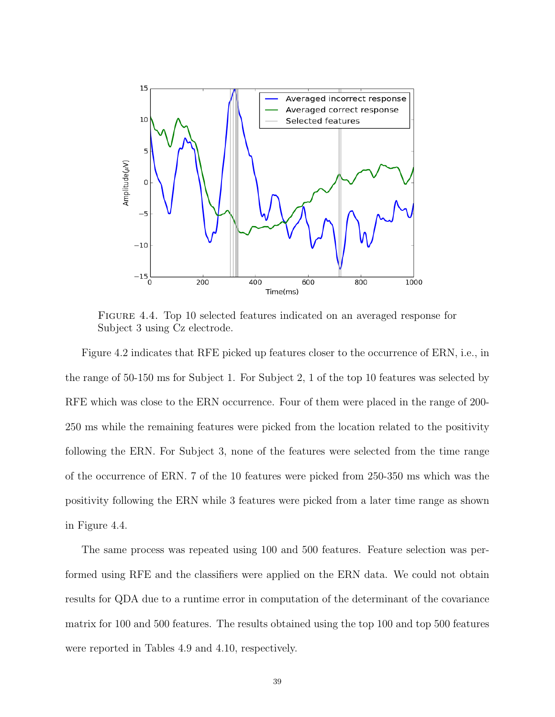

Figure 4.4. Top 10 selected features indicated on an averaged response for Subject 3 using Cz electrode.

Figure 4.2 indicates that RFE picked up features closer to the occurrence of ERN, i.e., in the range of 50-150 ms for Subject 1. For Subject 2, 1 of the top 10 features was selected by RFE which was close to the ERN occurrence. Four of them were placed in the range of 200- 250 ms while the remaining features were picked from the location related to the positivity following the ERN. For Subject 3, none of the features were selected from the time range of the occurrence of ERN. 7 of the 10 features were picked from 250-350 ms which was the positivity following the ERN while 3 features were picked from a later time range as shown in Figure 4.4.

The same process was repeated using 100 and 500 features. Feature selection was performed using RFE and the classifiers were applied on the ERN data. We could not obtain results for QDA due to a runtime error in computation of the determinant of the covariance matrix for 100 and 500 features. The results obtained using the top 100 and top 500 features were reported in Tables 4.9 and 4.10, respectively.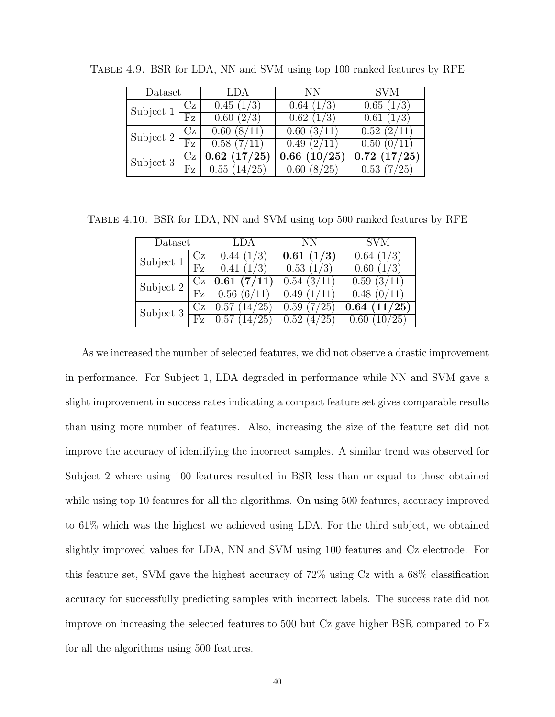| Dataset   |           | LDA            | NΝ                                   | <b>SVM</b>          |
|-----------|-----------|----------------|--------------------------------------|---------------------|
| Subject 1 | Сz        | 0.45(1/3)      | 0.64~(1/3)                           | 0.65(1/3)           |
|           | Fz        | 0.60(2/3)      | $0.\overline{62}$ $(1/\overline{3})$ | 0.61(1/3)           |
| Subject 2 | <b>Cz</b> | 0.60(8/11)     | 0.60~(3/11)                          | 0.52(2/11)          |
|           | Fz        | 0.58(7/11)     | 0.49(2/11)                           | 0.50(0/11)          |
| Subject 3 | Сz        | 0.62~(17/25)   | 0.66~(10/25)                         | 0.72(17/25)         |
|           | Fz        | 0.55<br>14/25` |                                      | 0.53<br>$\sqrt{25}$ |

Table 4.9. BSR for LDA, NN and SVM using top 100 ranked features by RFE

Table 4.10. BSR for LDA, NN and SVM using top 500 ranked features by RFE

| Dataset   |            | -LDA                     | - NN       | <b>SVM</b>    |
|-----------|------------|--------------------------|------------|---------------|
| Subject 1 | $C_{Z}$    | 0.44(1/3)                | 0.61(1/3)  | 0.64(1/3)     |
|           | Fz         | 0.41<br>(1/3)            | 0.53(1/3)  | (1/3)<br>0.60 |
| Subject 2 | $C_{Z}$    | $\mid 0.61 \; (7/11)$    | 0.54(3/11) | 0.59(3/11)    |
|           | ${\rm Fz}$ | 0.56(6/11)               | 0.49(1/11) | 0.48(0/11)    |
| Subject 3 | Cz.        | 0.57(14/25)              | 0.59(7/25) | 0.64~(11/25)  |
|           | Fz         | $\overline{0.57(14/25)}$ | 0.52(4/25) | 0.60(10/25)   |

As we increased the number of selected features, we did not observe a drastic improvement in performance. For Subject 1, LDA degraded in performance while NN and SVM gave a slight improvement in success rates indicating a compact feature set gives comparable results than using more number of features. Also, increasing the size of the feature set did not improve the accuracy of identifying the incorrect samples. A similar trend was observed for Subject 2 where using 100 features resulted in BSR less than or equal to those obtained while using top 10 features for all the algorithms. On using 500 features, accuracy improved to 61% which was the highest we achieved using LDA. For the third subject, we obtained slightly improved values for LDA, NN and SVM using 100 features and Cz electrode. For this feature set, SVM gave the highest accuracy of 72% using Cz with a 68% classification accuracy for successfully predicting samples with incorrect labels. The success rate did not improve on increasing the selected features to 500 but Cz gave higher BSR compared to Fz for all the algorithms using 500 features.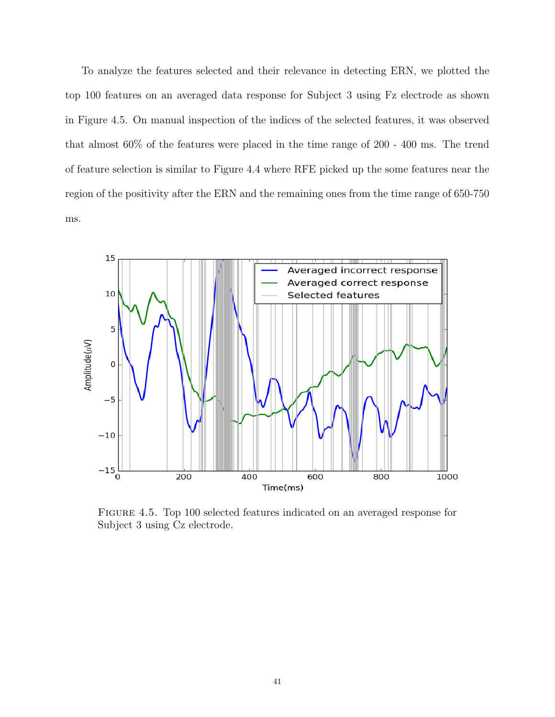To analyze the features selected and their relevance in detecting ERN, we plotted the top 100 features on an averaged data response for Subject 3 using Fz electrode as shown in Figure 4.5. On manual inspection of the indices of the selected features, it was observed that almost 60% of the features were placed in the time range of 200 - 400 ms. The trend of feature selection is similar to Figure 4.4 where RFE picked up the some features near the region of the positivity after the ERN and the remaining ones from the time range of 650-750 ms.



Figure 4.5. Top 100 selected features indicated on an averaged response for Subject 3 using Cz electrode.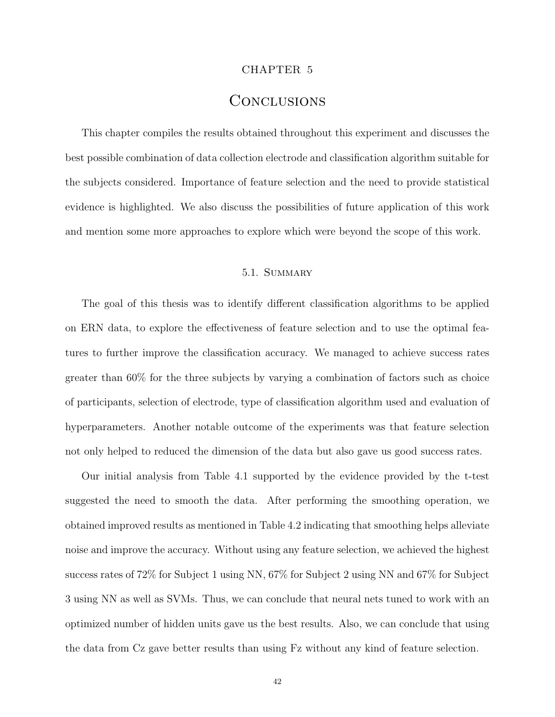#### CHAPTER 5

### **CONCLUSIONS**

This chapter compiles the results obtained throughout this experiment and discusses the best possible combination of data collection electrode and classification algorithm suitable for the subjects considered. Importance of feature selection and the need to provide statistical evidence is highlighted. We also discuss the possibilities of future application of this work and mention some more approaches to explore which were beyond the scope of this work.

#### 5.1. Summary

The goal of this thesis was to identify different classification algorithms to be applied on ERN data, to explore the effectiveness of feature selection and to use the optimal features to further improve the classification accuracy. We managed to achieve success rates greater than 60% for the three subjects by varying a combination of factors such as choice of participants, selection of electrode, type of classification algorithm used and evaluation of hyperparameters. Another notable outcome of the experiments was that feature selection not only helped to reduced the dimension of the data but also gave us good success rates.

Our initial analysis from Table 4.1 supported by the evidence provided by the t-test suggested the need to smooth the data. After performing the smoothing operation, we obtained improved results as mentioned in Table 4.2 indicating that smoothing helps alleviate noise and improve the accuracy. Without using any feature selection, we achieved the highest success rates of 72% for Subject 1 using NN, 67% for Subject 2 using NN and 67% for Subject 3 using NN as well as SVMs. Thus, we can conclude that neural nets tuned to work with an optimized number of hidden units gave us the best results. Also, we can conclude that using the data from Cz gave better results than using Fz without any kind of feature selection.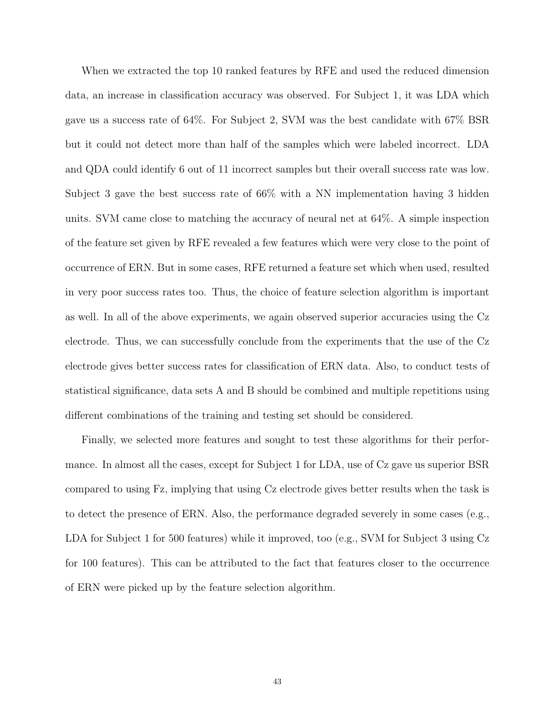When we extracted the top 10 ranked features by RFE and used the reduced dimension data, an increase in classification accuracy was observed. For Subject 1, it was LDA which gave us a success rate of 64%. For Subject 2, SVM was the best candidate with 67% BSR but it could not detect more than half of the samples which were labeled incorrect. LDA and QDA could identify 6 out of 11 incorrect samples but their overall success rate was low. Subject 3 gave the best success rate of 66% with a NN implementation having 3 hidden units. SVM came close to matching the accuracy of neural net at 64%. A simple inspection of the feature set given by RFE revealed a few features which were very close to the point of occurrence of ERN. But in some cases, RFE returned a feature set which when used, resulted in very poor success rates too. Thus, the choice of feature selection algorithm is important as well. In all of the above experiments, we again observed superior accuracies using the Cz electrode. Thus, we can successfully conclude from the experiments that the use of the Cz electrode gives better success rates for classification of ERN data. Also, to conduct tests of statistical significance, data sets A and B should be combined and multiple repetitions using different combinations of the training and testing set should be considered.

Finally, we selected more features and sought to test these algorithms for their performance. In almost all the cases, except for Subject 1 for LDA, use of Cz gave us superior BSR compared to using Fz, implying that using Cz electrode gives better results when the task is to detect the presence of ERN. Also, the performance degraded severely in some cases (e.g., LDA for Subject 1 for 500 features) while it improved, too (e.g., SVM for Subject 3 using Cz for 100 features). This can be attributed to the fact that features closer to the occurrence of ERN were picked up by the feature selection algorithm.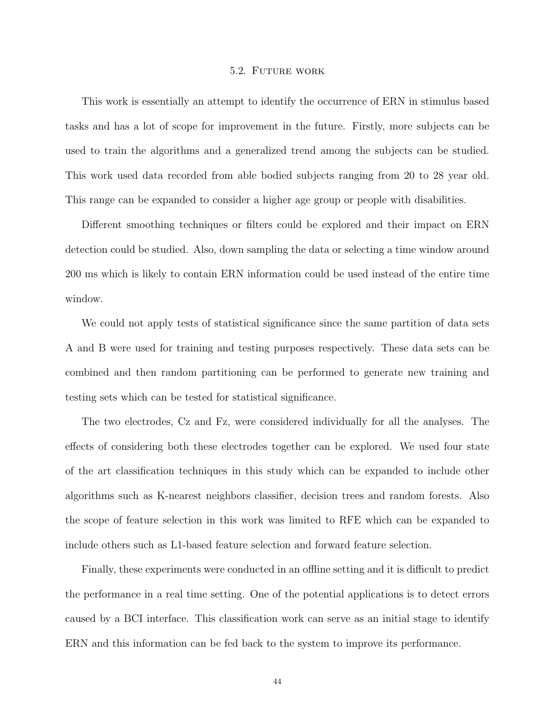#### 5.2. Future work

This work is essentially an attempt to identify the occurrence of ERN in stimulus based tasks and has a lot of scope for improvement in the future. Firstly, more subjects can be used to train the algorithms and a generalized trend among the subjects can be studied. This work used data recorded from able bodied subjects ranging from 20 to 28 year old. This range can be expanded to consider a higher age group or people with disabilities.

Different smoothing techniques or filters could be explored and their impact on ERN detection could be studied. Also, down sampling the data or selecting a time window around 200 ms which is likely to contain ERN information could be used instead of the entire time window.

We could not apply tests of statistical significance since the same partition of data sets A and B were used for training and testing purposes respectively. These data sets can be combined and then random partitioning can be performed to generate new training and testing sets which can be tested for statistical significance.

The two electrodes, Cz and Fz, were considered individually for all the analyses. The effects of considering both these electrodes together can be explored. We used four state of the art classification techniques in this study which can be expanded to include other algorithms such as K-nearest neighbors classifier, decision trees and random forests. Also the scope of feature selection in this work was limited to RFE which can be expanded to include others such as L1-based feature selection and forward feature selection.

Finally, these experiments were conducted in an offline setting and it is difficult to predict the performance in a real time setting. One of the potential applications is to detect errors caused by a BCI interface. This classification work can serve as an initial stage to identify ERN and this information can be fed back to the system to improve its performance.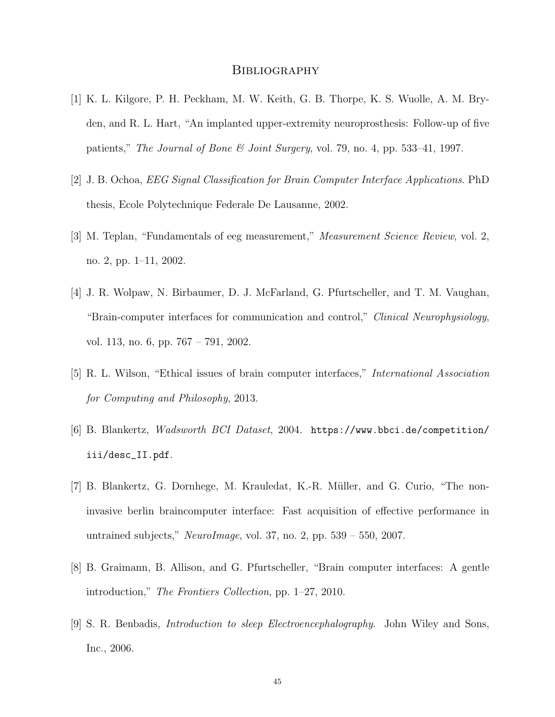#### **BIBLIOGRAPHY**

- [1] K. L. Kilgore, P. H. Peckham, M. W. Keith, G. B. Thorpe, K. S. Wuolle, A. M. Bryden, and R. L. Hart, "An implanted upper-extremity neuroprosthesis: Follow-up of five patients," The Journal of Bone & Joint Surgery, vol. 79, no. 4, pp. 533–41, 1997.
- [2] J. B. Ochoa, EEG Signal Classification for Brain Computer Interface Applications. PhD thesis, Ecole Polytechnique Federale De Lausanne, 2002.
- [3] M. Teplan, "Fundamentals of eeg measurement," Measurement Science Review, vol. 2, no. 2, pp. 1–11, 2002.
- [4] J. R. Wolpaw, N. Birbaumer, D. J. McFarland, G. Pfurtscheller, and T. M. Vaughan, "Brain-computer interfaces for communication and control," Clinical Neurophysiology, vol. 113, no. 6, pp. 767 – 791, 2002.
- [5] R. L. Wilson, "Ethical issues of brain computer interfaces," International Association for Computing and Philosophy, 2013.
- [6] B. Blankertz, Wadsworth BCI Dataset, 2004. https://www.bbci.de/competition/ iii/desc\_II.pdf.
- [7] B. Blankertz, G. Dornhege, M. Krauledat, K.-R. M¨uller, and G. Curio, "The noninvasive berlin braincomputer interface: Fast acquisition of effective performance in untrained subjects," NeuroImage, vol. 37, no. 2, pp.  $539 - 550$ , 2007.
- [8] B. Graimann, B. Allison, and G. Pfurtscheller, "Brain computer interfaces: A gentle introduction," The Frontiers Collection, pp. 1–27, 2010.
- [9] S. R. Benbadis, Introduction to sleep Electroencephalography. John Wiley and Sons, Inc., 2006.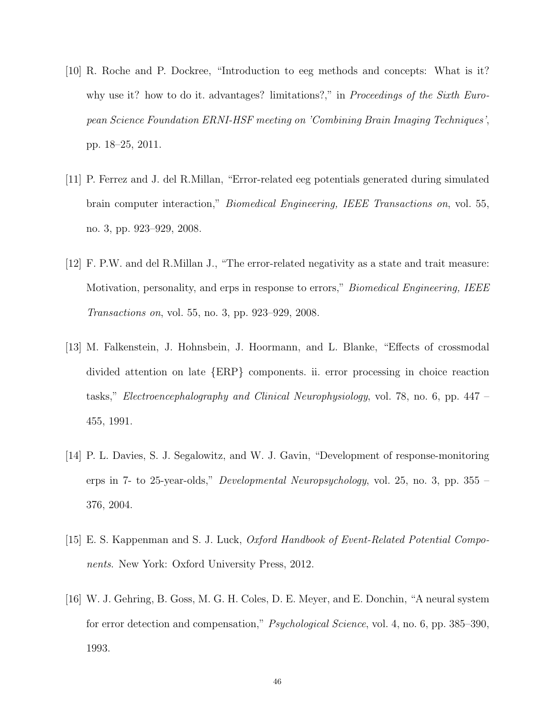- [10] R. Roche and P. Dockree, "Introduction to eeg methods and concepts: What is it? why use it? how to do it. advantages? limitations?," in *Proceedings of the Sixth Euro*pean Science Foundation ERNI-HSF meeting on 'Combining Brain Imaging Techniques', pp. 18–25, 2011.
- [11] P. Ferrez and J. del R.Millan, "Error-related eeg potentials generated during simulated brain computer interaction," Biomedical Engineering, IEEE Transactions on, vol. 55, no. 3, pp. 923–929, 2008.
- [12] F. P.W. and del R.Millan J., "The error-related negativity as a state and trait measure: Motivation, personality, and erps in response to errors," *Biomedical Engineering, IEEE* Transactions on, vol. 55, no. 3, pp. 923–929, 2008.
- [13] M. Falkenstein, J. Hohnsbein, J. Hoormann, and L. Blanke, "Effects of crossmodal divided attention on late {ERP} components. ii. error processing in choice reaction tasks," Electroencephalography and Clinical Neurophysiology, vol. 78, no. 6, pp. 447 – 455, 1991.
- [14] P. L. Davies, S. J. Segalowitz, and W. J. Gavin, "Development of response-monitoring erps in 7- to 25-year-olds," *Developmental Neuropsychology*, vol. 25, no. 3, pp.  $355 -$ 376, 2004.
- [15] E. S. Kappenman and S. J. Luck, Oxford Handbook of Event-Related Potential Components. New York: Oxford University Press, 2012.
- [16] W. J. Gehring, B. Goss, M. G. H. Coles, D. E. Meyer, and E. Donchin, "A neural system for error detection and compensation," Psychological Science, vol. 4, no. 6, pp. 385–390, 1993.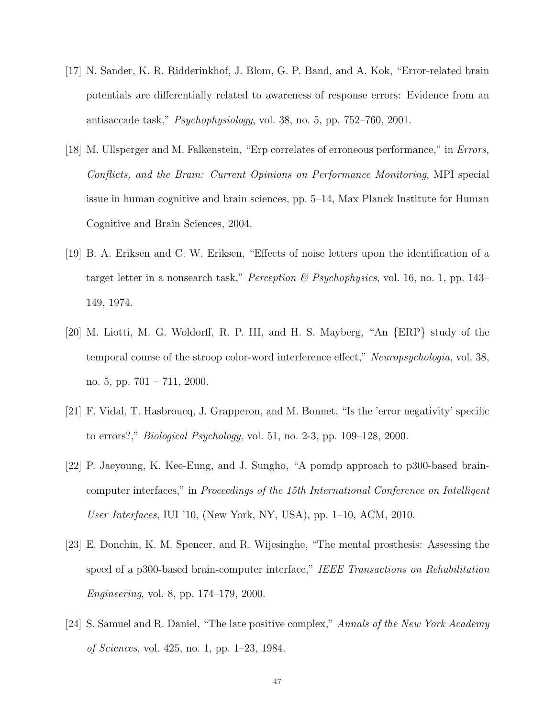- [17] N. Sander, K. R. Ridderinkhof, J. Blom, G. P. Band, and A. Kok, "Error-related brain potentials are differentially related to awareness of response errors: Evidence from an antisaccade task," Psychophysiology, vol. 38, no. 5, pp. 752–760, 2001.
- [18] M. Ullsperger and M. Falkenstein, "Erp correlates of erroneous performance," in Errors, Conflicts, and the Brain: Current Opinions on Performance Monitoring, MPI special issue in human cognitive and brain sciences, pp. 5–14, Max Planck Institute for Human Cognitive and Brain Sciences, 2004.
- [19] B. A. Eriksen and C. W. Eriksen, "Effects of noise letters upon the identification of a target letter in a nonsearch task," *Perception*  $\&$  *Psychophysics*, vol. 16, no. 1, pp. 143– 149, 1974.
- [20] M. Liotti, M. G. Woldorff, R. P. III, and H. S. Mayberg, "An {ERP} study of the temporal course of the stroop color-word interference effect," Neuropsychologia, vol. 38, no. 5, pp. 701 – 711, 2000.
- [21] F. Vidal, T. Hasbroucq, J. Grapperon, and M. Bonnet, "Is the 'error negativity' specific to errors?," Biological Psychology, vol. 51, no. 2-3, pp. 109–128, 2000.
- [22] P. Jaeyoung, K. Kee-Eung, and J. Sungho, "A pomdp approach to p300-based braincomputer interfaces," in Proceedings of the 15th International Conference on Intelligent User Interfaces, IUI '10, (New York, NY, USA), pp. 1–10, ACM, 2010.
- [23] E. Donchin, K. M. Spencer, and R. Wijesinghe, "The mental prosthesis: Assessing the speed of a p300-based brain-computer interface," IEEE Transactions on Rehabilitation Engineering, vol. 8, pp. 174–179, 2000.
- [24] S. Samuel and R. Daniel, "The late positive complex," Annals of the New York Academy of Sciences, vol. 425, no. 1, pp. 1–23, 1984.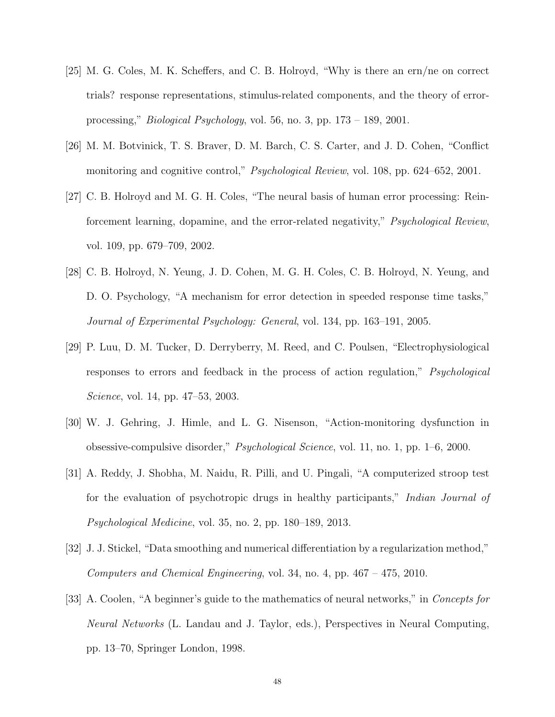- [25] M. G. Coles, M. K. Scheffers, and C. B. Holroyd, "Why is there an ern/ne on correct trials? response representations, stimulus-related components, and the theory of errorprocessing," Biological Psychology, vol. 56, no. 3, pp. 173 – 189, 2001.
- [26] M. M. Botvinick, T. S. Braver, D. M. Barch, C. S. Carter, and J. D. Cohen, "Conflict monitoring and cognitive control," *Psychological Review*, vol. 108, pp. 624–652, 2001.
- [27] C. B. Holroyd and M. G. H. Coles, "The neural basis of human error processing: Reinforcement learning, dopamine, and the error-related negativity," Psychological Review, vol. 109, pp. 679–709, 2002.
- [28] C. B. Holroyd, N. Yeung, J. D. Cohen, M. G. H. Coles, C. B. Holroyd, N. Yeung, and D. O. Psychology, "A mechanism for error detection in speeded response time tasks," Journal of Experimental Psychology: General, vol. 134, pp. 163–191, 2005.
- [29] P. Luu, D. M. Tucker, D. Derryberry, M. Reed, and C. Poulsen, "Electrophysiological responses to errors and feedback in the process of action regulation," Psychological Science, vol. 14, pp. 47–53, 2003.
- [30] W. J. Gehring, J. Himle, and L. G. Nisenson, "Action-monitoring dysfunction in obsessive-compulsive disorder," Psychological Science, vol. 11, no. 1, pp. 1–6, 2000.
- [31] A. Reddy, J. Shobha, M. Naidu, R. Pilli, and U. Pingali, "A computerized stroop test for the evaluation of psychotropic drugs in healthy participants," Indian Journal of Psychological Medicine, vol. 35, no. 2, pp. 180–189, 2013.
- [32] J. J. Stickel, "Data smoothing and numerical differentiation by a regularization method," Computers and Chemical Engineering, vol. 34, no. 4, pp. 467 – 475, 2010.
- [33] A. Coolen, "A beginner's guide to the mathematics of neural networks," in Concepts for Neural Networks (L. Landau and J. Taylor, eds.), Perspectives in Neural Computing, pp. 13–70, Springer London, 1998.